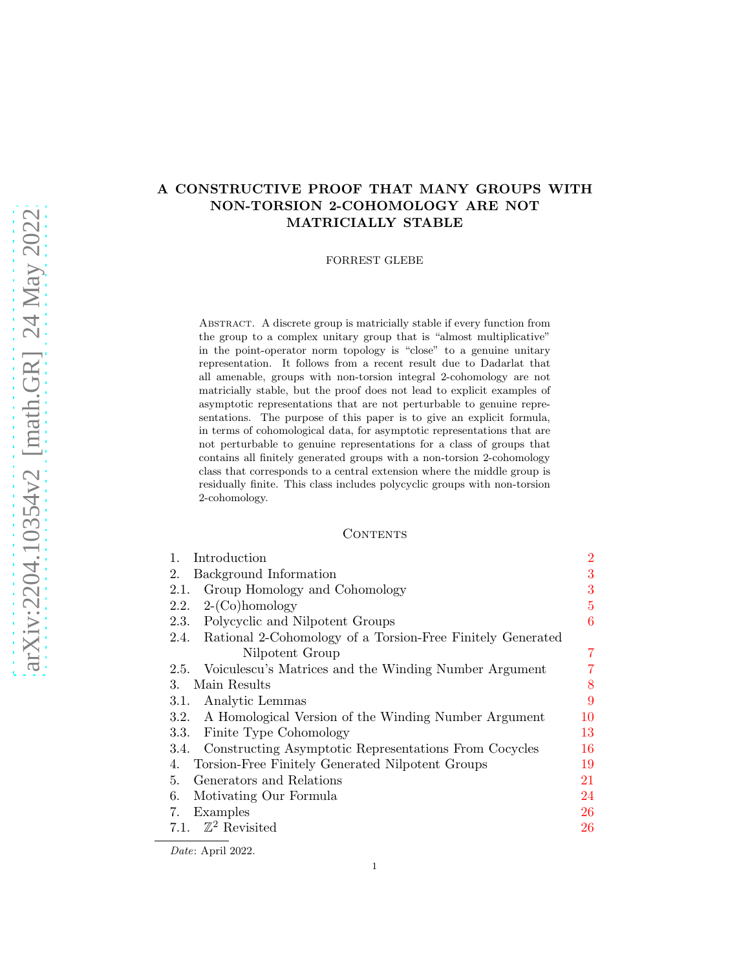# A CONSTRUCTIVE PROOF THAT MANY GROUPS WITH NON-TORSION 2-COHOMOLOGY ARE NOT MATRICIALLY STABLE

#### FORREST GLEBE

Abstract. A discrete group is matricially stable if every function from the group to a complex unitary group that is "almost multiplicative" in the point-operator norm topology is "close" to a genuine unitary representation. It follows from a recent result due to Dadarlat that all amenable, groups with non-torsion integral 2-cohomology are not matricially stable, but the proof does not lead to explicit examples of asymptotic representations that are not perturbable to genuine representations. The purpose of this paper is to give an explicit formula, in terms of cohomological data, for asymptotic representations that are not perturbable to genuine representations for a class of groups that contains all finitely generated groups with a non-torsion 2-cohomology class that corresponds to a central extension where the middle group is residually finite. This class includes polycyclic groups with non-torsion 2-cohomology.

#### **CONTENTS**

| 1.<br>Introduction                                              | $\overline{2}$ |
|-----------------------------------------------------------------|----------------|
| Background Information<br>2.                                    | 3              |
| Group Homology and Cohomology<br>2.1.                           | 3              |
| $2-(Co)homology$<br>2.2.                                        | $\overline{5}$ |
| Polycyclic and Nilpotent Groups<br>2.3.                         | 6              |
| 2.4. Rational 2-Cohomology of a Torsion-Free Finitely Generated |                |
| Nilpotent Group                                                 | 7              |
| Voiculescu's Matrices and the Winding Number Argument<br>2.5.   | 7              |
| Main Results<br>3.                                              | 8              |
| 3.1. Analytic Lemmas                                            | 9              |
| 3.2. A Homological Version of the Winding Number Argument       | 10             |
| Finite Type Cohomology<br>3.3.                                  | 13             |
| 3.4. Constructing Asymptotic Representations From Cocycles      | 16             |
| Torsion-Free Finitely Generated Nilpotent Groups<br>4.          | 19             |
| Generators and Relations<br>5.                                  | 21             |
| Motivating Our Formula<br>6.                                    | 24             |
| Examples<br>7.                                                  | 26             |
| 7.1. $\mathbb{Z}^2$ Revisited                                   | 26             |
|                                                                 |                |

Date: April 2022.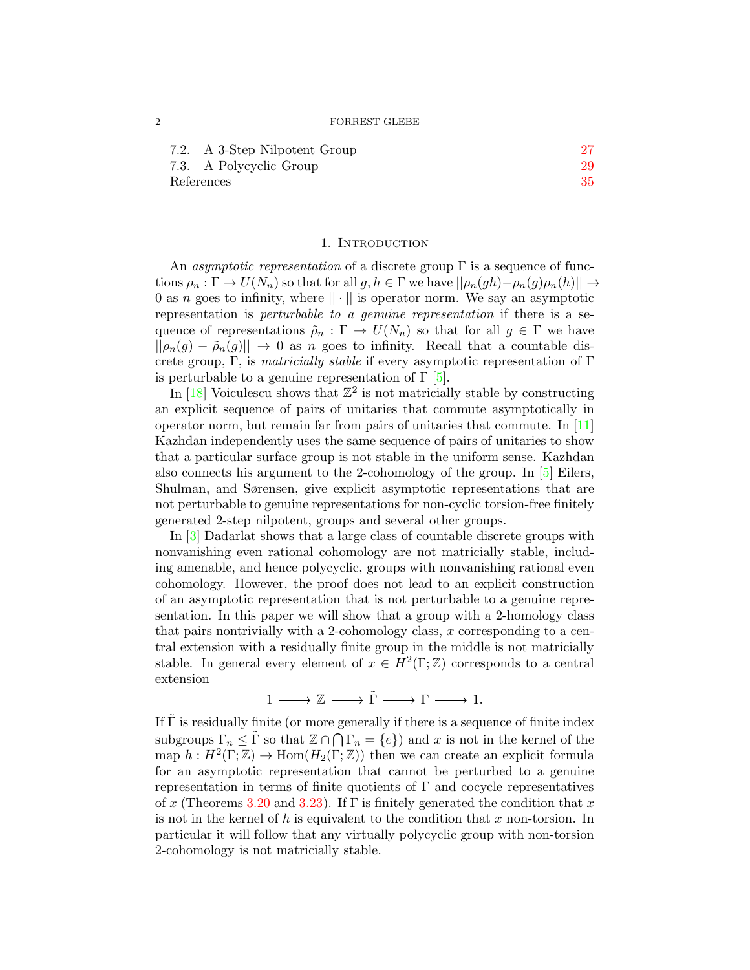<span id="page-1-1"></span>

| 7.2. A 3-Step Nilpotent Group |    |
|-------------------------------|----|
| 7.3. A Polycyclic Group       | 29 |
| References                    | 35 |

#### 1. INTRODUCTION

<span id="page-1-0"></span>An *asymptotic representation* of a discrete group  $\Gamma$  is a sequence of functions  $\rho_n : \Gamma \to U(N_n)$  so that for all  $g, h \in \Gamma$  we have  $||\rho_n(gh) - \rho_n(g)\rho_n(h)|| \to$ 0 as n goes to infinity, where  $|| \cdot ||$  is operator norm. We say an asymptotic representation is perturbable to a genuine representation if there is a sequence of representations  $\tilde{\rho}_n : \Gamma \to U(N_n)$  so that for all  $g \in \Gamma$  we have  $||\rho_n(g) - \tilde{\rho}_n(g)|| \rightarrow 0$  as n goes to infinity. Recall that a countable discrete group, Γ, is *matricially stable* if every asymptotic representation of Γ is perturbable to a genuine representation of  $\Gamma$  [\[5\]](#page-34-1).

In  $[18]$  Voiculescu shows that  $\mathbb{Z}^2$  is not matricially stable by constructing an explicit sequence of pairs of unitaries that commute asymptotically in operator norm, but remain far from pairs of unitaries that commute. In [\[11\]](#page-34-3) Kazhdan independently uses the same sequence of pairs of unitaries to show that a particular surface group is not stable in the uniform sense. Kazhdan also connects his argument to the 2-cohomology of the group. In [\[5\]](#page-34-1) Eilers, Shulman, and Sørensen, give explicit asymptotic representations that are not perturbable to genuine representations for non-cyclic torsion-free finitely generated 2-step nilpotent, groups and several other groups.

In [\[3\]](#page-34-4) Dadarlat shows that a large class of countable discrete groups with nonvanishing even rational cohomology are not matricially stable, including amenable, and hence polycyclic, groups with nonvanishing rational even cohomology. However, the proof does not lead to an explicit construction of an asymptotic representation that is not perturbable to a genuine representation. In this paper we will show that a group with a 2-homology class that pairs nontrivially with a 2-cohomology class,  $x$  corresponding to a central extension with a residually finite group in the middle is not matricially stable. In general every element of  $x \in H^2(\Gamma;\mathbb{Z})$  corresponds to a central extension

 $1 \longrightarrow \mathbb{Z} \longrightarrow \tilde{\Gamma} \longrightarrow \Gamma \longrightarrow 1.$ 

If  $\tilde{\Gamma}$  is residually finite (or more generally if there is a sequence of finite index subgroups  $\Gamma_n \leq \tilde{\Gamma}$  so that  $\mathbb{Z} \cap \bigcap \Gamma_n = \{e\}$  and x is not in the kernel of the map  $h: H^2(\Gamma;\mathbb{Z}) \to \text{Hom}(H_2(\Gamma;\mathbb{Z}))$  then we can create an explicit formula for an asymptotic representation that cannot be perturbed to a genuine representation in terms of finite quotients of  $\Gamma$  and cocycle representatives of x (Theorems [3.20](#page-16-0) and [3.23\)](#page-17-0). If  $\Gamma$  is finitely generated the condition that x is not in the kernel of h is equivalent to the condition that  $x$  non-torsion. In particular it will follow that any virtually polycyclic group with non-torsion 2-cohomology is not matricially stable.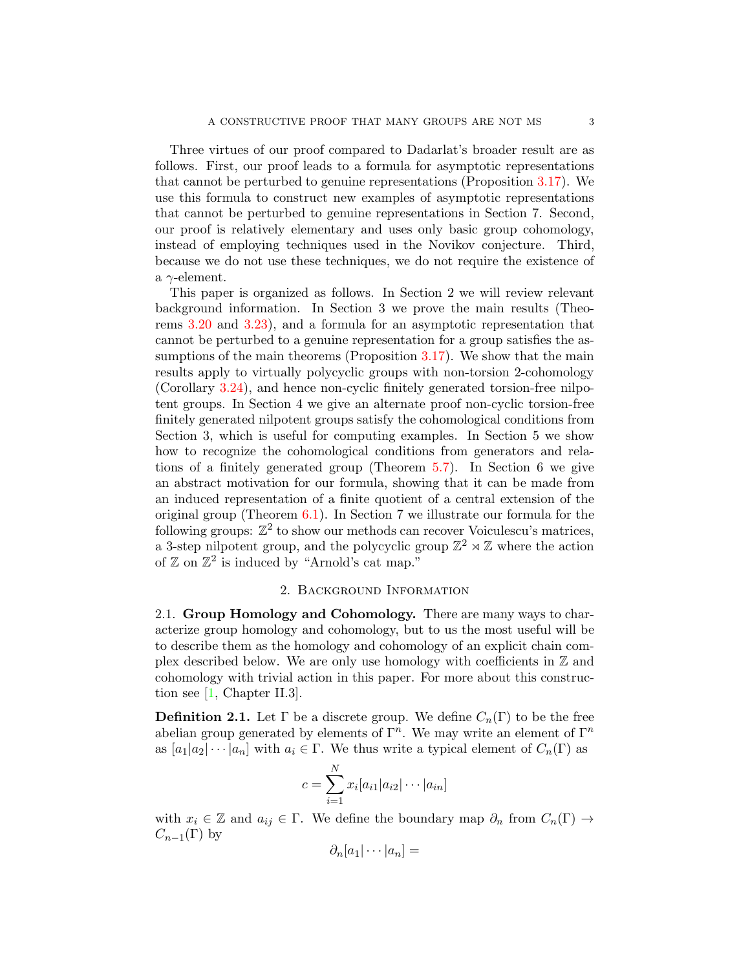<span id="page-2-2"></span>Three virtues of our proof compared to Dadarlat's broader result are as follows. First, our proof leads to a formula for asymptotic representations that cannot be perturbed to genuine representations (Proposition [3.17\)](#page-15-1). We use this formula to construct new examples of asymptotic representations that cannot be perturbed to genuine representations in Section 7. Second, our proof is relatively elementary and uses only basic group cohomology, instead of employing techniques used in the Novikov conjecture. Third, because we do not use these techniques, we do not require the existence of a  $\gamma$ -element.

This paper is organized as follows. In Section 2 we will review relevant background information. In Section 3 we prove the main results (Theorems [3.20](#page-16-0) and [3.23\)](#page-17-0), and a formula for an asymptotic representation that cannot be perturbed to a genuine representation for a group satisfies the as-sumptions of the main theorems (Proposition [3.17\)](#page-15-1). We show that the main results apply to virtually polycyclic groups with non-torsion 2-cohomology (Corollary [3.24\)](#page-18-1), and hence non-cyclic finitely generated torsion-free nilpotent groups. In Section 4 we give an alternate proof non-cyclic torsion-free finitely generated nilpotent groups satisfy the cohomological conditions from Section 3, which is useful for computing examples. In Section 5 we show how to recognize the cohomological conditions from generators and relations of a finitely generated group (Theorem [5.7\)](#page-22-0). In Section 6 we give an abstract motivation for our formula, showing that it can be made from an induced representation of a finite quotient of a central extension of the original group (Theorem  $6.1$ ). In Section 7 we illustrate our formula for the following groups:  $\mathbb{Z}^2$  to show our methods can recover Voiculescu's matrices, a 3-step nilpotent group, and the polycyclic group  $\mathbb{Z}^2 \rtimes \mathbb{Z}$  where the action of  $\mathbb{Z}$  on  $\mathbb{Z}^2$  is induced by "Arnold's cat map."

### 2. Background Information

<span id="page-2-1"></span><span id="page-2-0"></span>2.1. Group Homology and Cohomology. There are many ways to characterize group homology and cohomology, but to us the most useful will be to describe them as the homology and cohomology of an explicit chain complex described below. We are only use homology with coefficients in  $\mathbb Z$  and cohomology with trivial action in this paper. For more about this construction see [\[1,](#page-34-5) Chapter II.3].

**Definition 2.1.** Let  $\Gamma$  be a discrete group. We define  $C_n(\Gamma)$  to be the free abelian group generated by elements of  $\Gamma^n$ . We may write an element of  $\Gamma^n$ as  $[a_1|a_2|\cdots|a_n]$  with  $a_i \in \Gamma$ . We thus write a typical element of  $C_n(\Gamma)$  as

$$
c = \sum_{i=1}^{N} x_i [a_{i1} | a_{i2} | \cdots | a_{in}]
$$

with  $x_i \in \mathbb{Z}$  and  $a_{ij} \in \Gamma$ . We define the boundary map  $\partial_n$  from  $C_n(\Gamma) \to$  $C_{n-1}(\Gamma)$  by

$$
\partial_n [a_1 | \cdots | a_n] =
$$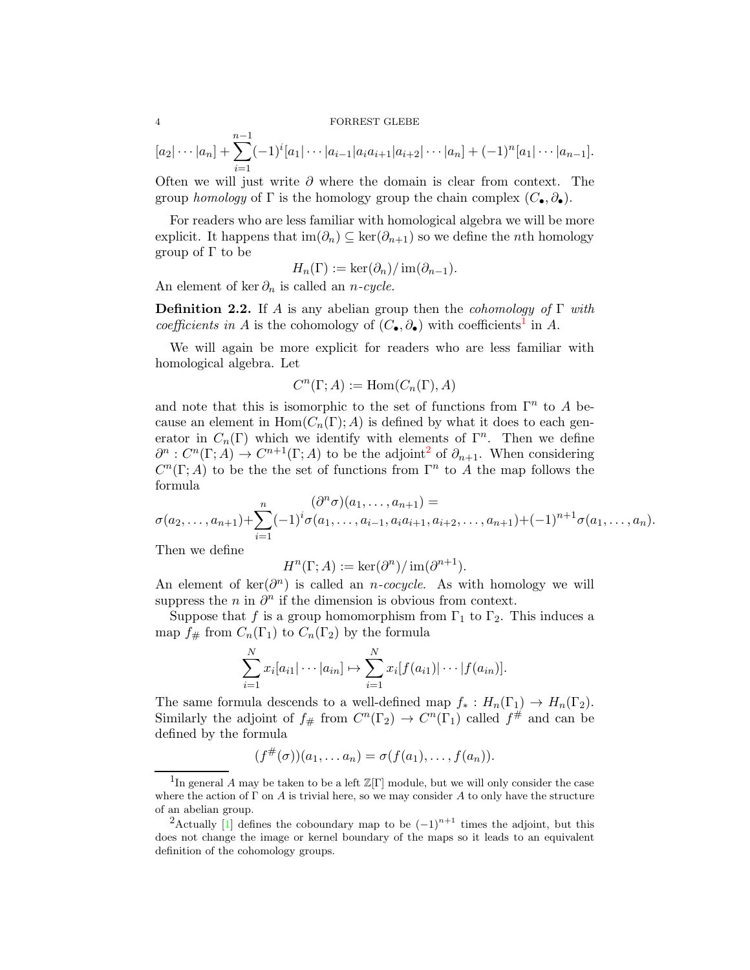#### <span id="page-3-2"></span>4 FORREST GLEBE

$$
[a_2|\cdots|a_n] + \sum_{i=1}^{n-1} (-1)^i [a_1|\cdots|a_{i-1}|a_ia_{i+1}|a_{i+2}|\cdots|a_n] + (-1)^n [a_1|\cdots|a_{n-1}].
$$

Often we will just write  $\partial$  where the domain is clear from context. The group homology of  $\Gamma$  is the homology group the chain complex  $(C_{\bullet}, \partial_{\bullet})$ .

For readers who are less familiar with homological algebra we will be more explicit. It happens that  $\text{im}(\partial_n) \subseteq \text{ker}(\partial_{n+1})$  so we define the *n*th homology group of Γ to be

$$
H_n(\Gamma) := \ker(\partial_n) / \operatorname{im}(\partial_{n-1}).
$$

An element of ker  $\partial_n$  is called an *n-cycle*.

**Definition 2.2.** If A is any abelian group then the *cohomology of*  $\Gamma$  with coefficients in A is the cohomology of  $(C_{\bullet}, \partial_{\bullet})$  with coefficients<sup>[1](#page-3-0)</sup> in A.

We will again be more explicit for readers who are less familiar with homological algebra. Let

$$
C^n(\Gamma; A) := \text{Hom}(C_n(\Gamma), A)
$$

and note that this is isomorphic to the set of functions from  $\Gamma^n$  to A because an element in  $Hom(C_n(\Gamma); A)$  is defined by what it does to each generator in  $C_n(\Gamma)$  which we identify with elements of  $\Gamma^n$ . Then we define  $\partial^n : C^n(\Gamma; A) \to C^{n+1}(\Gamma; A)$  to be the adjoint<sup>[2](#page-3-1)</sup> of  $\partial_{n+1}$ . When considering  $C<sup>n</sup>(\Gamma; A)$  to be the set of functions from  $\Gamma<sup>n</sup>$  to A the map follows the formula

$$
\sigma(a_2,\ldots,a_{n+1})+\sum_{i=1}^n(-1)^i\sigma(a_1,\ldots,a_{i-1},a_ia_{i+1},a_{i+2},\ldots,a_{n+1})+(-1)^{n+1}\sigma(a_1,\ldots,a_n).
$$

Then we define

$$
H^n(\Gamma; A) := \ker(\partial^n) / \operatorname{im}(\partial^{n+1}).
$$

An element of  $\ker(\partial^n)$  is called an *n-cocycle*. As with homology we will suppress the  $n$  in  $\partial^n$  if the dimension is obvious from context.

Suppose that f is a group homomorphism from  $\Gamma_1$  to  $\Gamma_2$ . This induces a map  $f_{\#}$  from  $C_n(\Gamma_1)$  to  $C_n(\Gamma_2)$  by the formula

$$
\sum_{i=1}^{N} x_i [a_{i1} | \cdots | a_{in}] \mapsto \sum_{i=1}^{N} x_i [f(a_{i1}) | \cdots | f(a_{in})].
$$

The same formula descends to a well-defined map  $f_* : H_n(\Gamma_1) \to H_n(\Gamma_2)$ . Similarly the adjoint of  $f_{\#}$  from  $C^n(\Gamma_2) \to C^n(\Gamma_1)$  called  $f^{\#}$  and can be defined by the formula

$$
(f^{\#}(\sigma))(a_1,\ldots a_n)=\sigma(f(a_1),\ldots,f(a_n)).
$$

<span id="page-3-0"></span><sup>&</sup>lt;sup>1</sup>In general A may be taken to be a left  $\mathbb{Z}[\Gamma]$  module, but we will only consider the case where the action of  $\Gamma$  on A is trivial here, so we may consider A to only have the structure of an abelian group.

<span id="page-3-1"></span><sup>&</sup>lt;sup>2</sup>Actually [\[1\]](#page-34-5) defines the coboundary map to be  $(-1)^{n+1}$  times the adjoint, but this does not change the image or kernel boundary of the maps so it leads to an equivalent definition of the cohomology groups.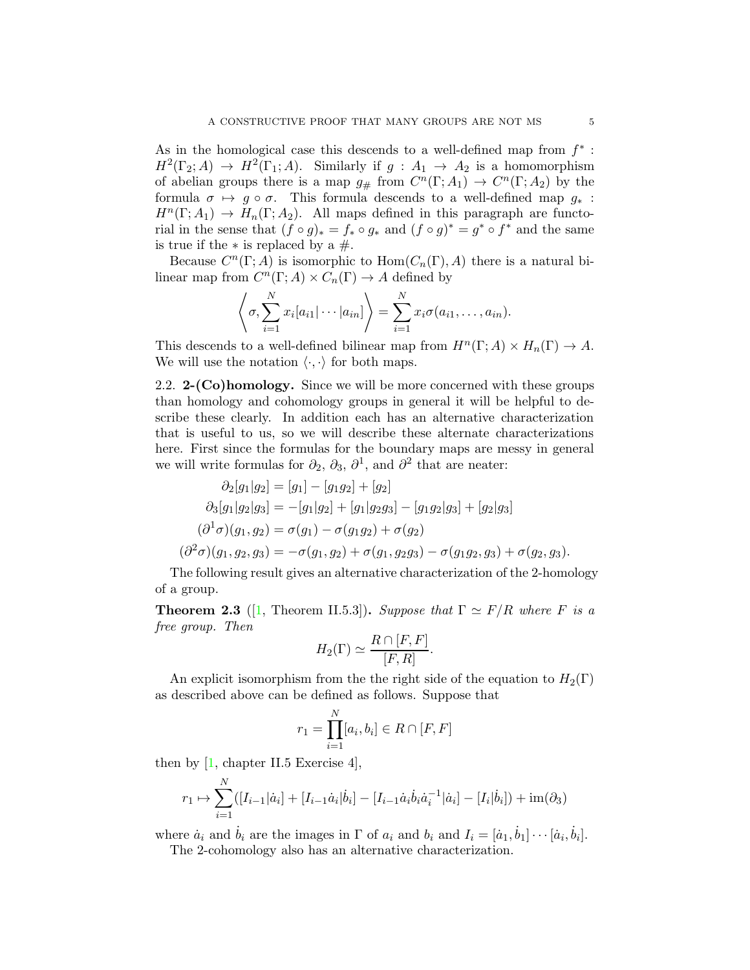<span id="page-4-2"></span>As in the homological case this descends to a well-defined map from  $f^*$ :  $H^2(\Gamma_2;A) \to H^2(\Gamma_1;A)$ . Similarly if  $g: A_1 \to A_2$  is a homomorphism of abelian groups there is a map  $g_{\#}$  from  $C^n(\Gamma; A_1) \to C^n(\Gamma; A_2)$  by the formula  $\sigma \mapsto g \circ \sigma$ . This formula descends to a well-defined map  $g_*$ :  $H^n(\Gamma; A_1) \to H_n(\Gamma; A_2)$ . All maps defined in this paragraph are functorial in the sense that  $(f \circ g)_* = f_* \circ g_*$  and  $(f \circ g)^* = g^* \circ f^*$  and the same is true if the  $*$  is replaced by a  $#$ .

Because  $C^n(\Gamma; A)$  is isomorphic to  $\text{Hom}(C_n(\Gamma), A)$  there is a natural bilinear map from  $C^n(\Gamma; A) \times C_n(\Gamma) \to A$  defined by

$$
\left\langle \sigma, \sum_{i=1}^N x_i [a_{i1} | \cdots | a_{in}] \right\rangle = \sum_{i=1}^N x_i \sigma(a_{i1}, \ldots, a_{in}).
$$

This descends to a well-defined bilinear map from  $H^n(\Gamma; A) \times H_n(\Gamma) \to A$ . We will use the notation  $\langle \cdot, \cdot \rangle$  for both maps.

<span id="page-4-0"></span>2.2.  $2-(Co)$ homology. Since we will be more concerned with these groups than homology and cohomology groups in general it will be helpful to describe these clearly. In addition each has an alternative characterization that is useful to us, so we will describe these alternate characterizations here. First since the formulas for the boundary maps are messy in general we will write formulas for  $\partial_2$ ,  $\partial_3$ ,  $\partial^1$ , and  $\partial^2$  that are neater:

$$
\partial_2[g_1|g_2] = [g_1] - [g_1g_2] + [g_2] \n\partial_3[g_1|g_2|g_3] = -[g_1|g_2] + [g_1|g_2g_3] - [g_1g_2|g_3] + [g_2|g_3] \n(\partial^1 \sigma)(g_1, g_2) = \sigma(g_1) - \sigma(g_1g_2) + \sigma(g_2) \n(\partial^2 \sigma)(g_1, g_2, g_3) = -\sigma(g_1, g_2) + \sigma(g_1, g_2g_3) - \sigma(g_1g_2, g_3) + \sigma(g_2, g_3).
$$

The following result gives an alternative characterization of the 2-homology of a group.

<span id="page-4-1"></span>**Theorem 2.3** ([\[1,](#page-34-5) Theorem II.5.3]). Suppose that  $\Gamma \simeq F/R$  where F is a free group. Then

$$
H_2(\Gamma) \simeq \frac{R \cap [F, F]}{[F, R]}.
$$

An explicit isomorphism from the the right side of the equation to  $H_2(\Gamma)$ as described above can be defined as follows. Suppose that

$$
r_1 = \prod_{i=1}^{N} [a_i, b_i] \in R \cap [F, F]
$$

then by  $[1,$  chapter II.5 Exercise 4,

$$
r_1 \mapsto \sum_{i=1}^N ([I_{i-1}|\dot{a}_i] + [I_{i-1}\dot{a}_i|\dot{b}_i] - [I_{i-1}\dot{a}_i\dot{b}_i\dot{a}_i^{-1}|\dot{a}_i] - [I_i|\dot{b}_i]) + \text{im}(\partial_3)
$$

where  $\dot{a}_i$  and  $\dot{b}_i$  are the images in  $\Gamma$  of  $a_i$  and  $b_i$  and  $I_i = [\dot{a}_1, \dot{b}_1] \cdots [\dot{a}_i, \dot{b}_i]$ .

The 2-cohomology also has an alternative characterization.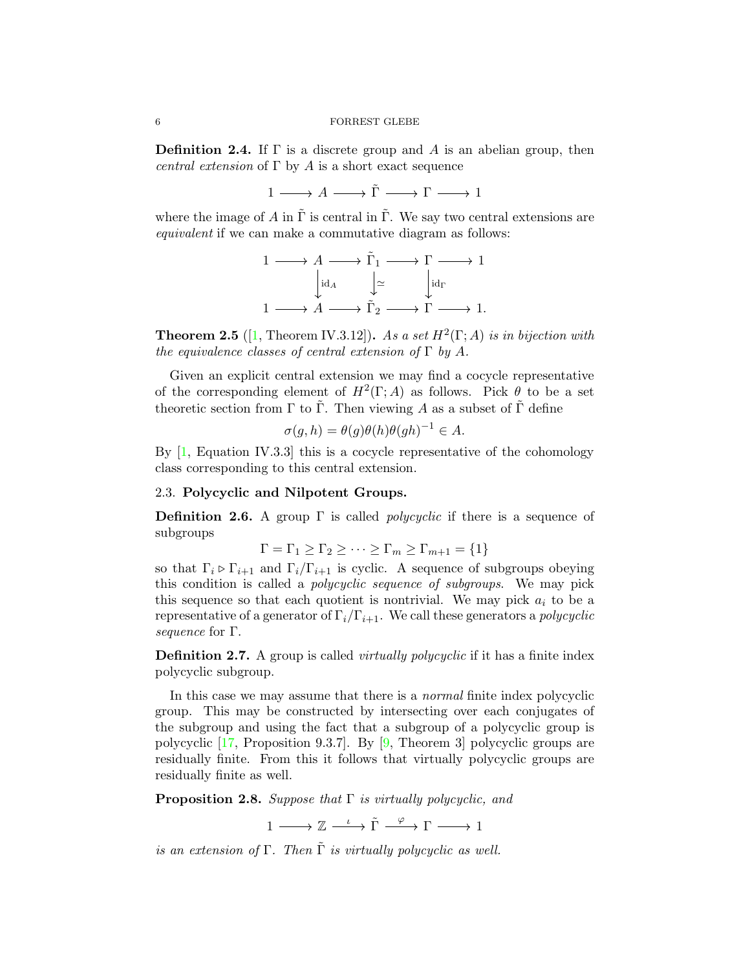<span id="page-5-2"></span>**Definition 2.4.** If  $\Gamma$  is a discrete group and A is an abelian group, then central extension of  $\Gamma$  by A is a short exact sequence

 $1 \longrightarrow A \longrightarrow \tilde{\Gamma} \longrightarrow \Gamma \longrightarrow 1$ 

where the image of A in  $\Gamma$  is central in  $\Gamma$ . We say two central extensions are equivalent if we can make a commutative diagram as follows:

$$
1 \longrightarrow A \longrightarrow \tilde{\Gamma}_1 \longrightarrow \Gamma \longrightarrow 1
$$

$$
\downarrow id_A \qquad \downarrow \simeq \qquad \downarrow id_{\Gamma}
$$

$$
1 \longrightarrow A \longrightarrow \tilde{\Gamma}_2 \longrightarrow \Gamma \longrightarrow 1.
$$

**Theorem 2.5** ([\[1,](#page-34-5) Theorem IV.3.12]). As a set  $H^2(\Gamma; A)$  is in bijection with the equivalence classes of central extension of  $\Gamma$  by A.

Given an explicit central extension we may find a cocycle representative of the corresponding element of  $H^2(\Gamma; A)$  as follows. Pick  $\theta$  to be a set theoretic section from  $\Gamma$  to  $\Gamma$ . Then viewing A as a subset of  $\Gamma$  define

$$
\sigma(g, h) = \theta(g)\theta(h)\theta(gh)^{-1} \in A.
$$

By [\[1,](#page-34-5) Equation IV.3.3] this is a cocycle representative of the cohomology class corresponding to this central extension.

### <span id="page-5-0"></span>2.3. Polycyclic and Nilpotent Groups.

**Definition 2.6.** A group  $\Gamma$  is called *polycyclic* if there is a sequence of subgroups

$$
\Gamma = \Gamma_1 \ge \Gamma_2 \ge \cdots \ge \Gamma_m \ge \Gamma_{m+1} = \{1\}
$$

so that  $\Gamma_i \triangleright \Gamma_{i+1}$  and  $\Gamma_i/\Gamma_{i+1}$  is cyclic. A sequence of subgroups obeying this condition is called a polycyclic sequence of subgroups. We may pick this sequence so that each quotient is nontrivial. We may pick  $a_i$  to be a representative of a generator of  $\Gamma_i/\Gamma_{i+1}$ . We call these generators a *polycyclic* sequence for Γ.

**Definition 2.7.** A group is called *virtually polycyclic* if it has a finite index polycyclic subgroup.

In this case we may assume that there is a normal finite index polycyclic group. This may be constructed by intersecting over each conjugates of the subgroup and using the fact that a subgroup of a polycyclic group is polycyclic [\[17,](#page-34-6) Proposition 9.3.7]. By [\[9,](#page-34-7) Theorem 3] polycyclic groups are residually finite. From this it follows that virtually polycyclic groups are residually finite as well.

<span id="page-5-1"></span>**Proposition 2.8.** Suppose that  $\Gamma$  is virtually polycyclic, and

 $1 \longrightarrow \mathbb{Z} \xrightarrow{\iota} \tilde{\Gamma} \xrightarrow{\varphi} \Gamma \longrightarrow 1$ 

is an extension of  $\Gamma$ . Then  $\tilde{\Gamma}$  is virtually polycyclic as well.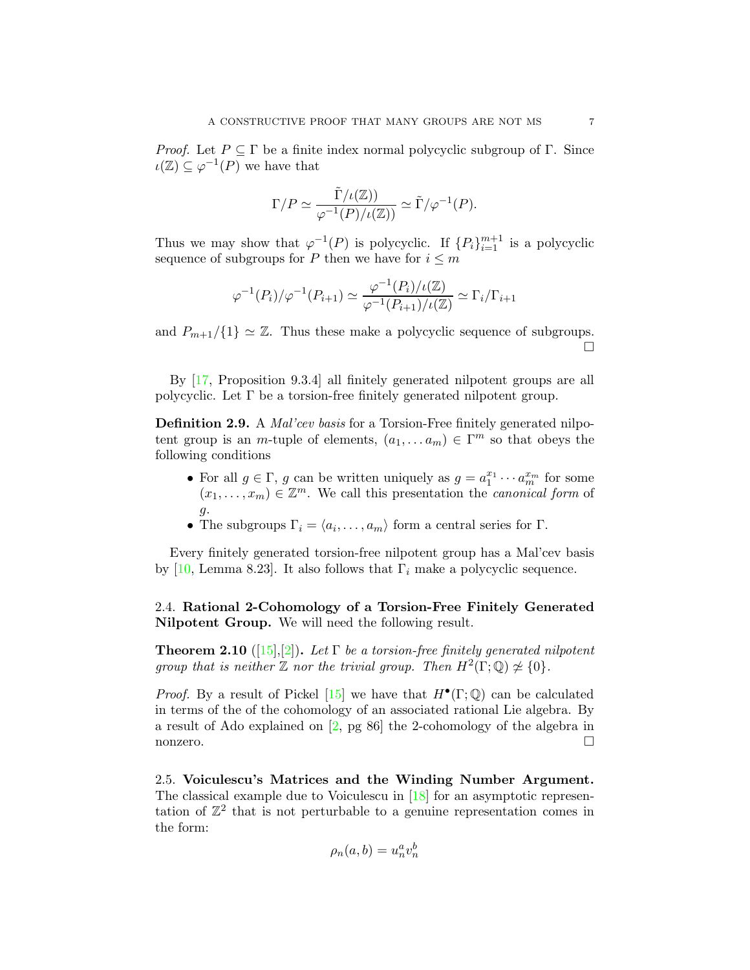<span id="page-6-3"></span>*Proof.* Let  $P \subseteq \Gamma$  be a finite index normal polycyclic subgroup of  $\Gamma$ . Since  $\iota(\mathbb{Z}) \subseteq \varphi^{-1}(P)$  we have that

$$
\Gamma/P \simeq \frac{\tilde{\Gamma}/\iota(\mathbb{Z}))}{\varphi^{-1}(P)/\iota(\mathbb{Z}))} \simeq \tilde{\Gamma}/\varphi^{-1}(P).
$$

Thus we may show that  $\varphi^{-1}(P)$  is polycyclic. If  $\{P_i\}_{i=1}^{m+1}$  is a polycyclic sequence of subgroups for P then we have for  $i \leq m$ 

$$
\varphi^{-1}(P_i)/\varphi^{-1}(P_{i+1}) \simeq \frac{\varphi^{-1}(P_i)/\iota(\mathbb{Z})}{\varphi^{-1}(P_{i+1})/\iota(\mathbb{Z})} \simeq \Gamma_i/\Gamma_{i+1}
$$

and  $P_{m+1}/\{1\} \simeq \mathbb{Z}$ . Thus these make a polycyclic sequence of subgroups. П

By [\[17,](#page-34-6) Proposition 9.3.4] all finitely generated nilpotent groups are all polycyclic. Let  $\Gamma$  be a torsion-free finitely generated nilpotent group.

Definition 2.9. A *Mal'cev basis* for a Torsion-Free finitely generated nilpotent group is an *m*-tuple of elements,  $(a_1, \ldots, a_m) \in \Gamma^m$  so that obeys the following conditions

- For all  $g \in \Gamma$ , g can be written uniquely as  $g = a_1^{x_1} \cdots a_m^{x_m}$  for some  $(x_1, \ldots, x_m) \in \mathbb{Z}^m$ . We call this presentation the *canonical form* of  $\mathfrak{g}.$
- The subgroups  $\Gamma_i = \langle a_i, \ldots, a_m \rangle$  form a central series for  $\Gamma$ .

Every finitely generated torsion-free nilpotent group has a Mal'cev basis by [\[10,](#page-34-8) Lemma 8.23]. It also follows that  $\Gamma_i$  make a polycyclic sequence.

## <span id="page-6-0"></span>2.4. Rational 2-Cohomology of a Torsion-Free Finitely Generated Nilpotent Group. We will need the following result.

<span id="page-6-2"></span>**Theorem 2.10** ([\[15\]](#page-34-9),[\[2\]](#page-34-10)). Let  $\Gamma$  be a torsion-free finitely generated nilpotent group that is neither  $\mathbb Z$  nor the trivial group. Then  $H^2(\Gamma;\mathbb Q)\not\simeq \{0\}.$ 

*Proof.* By a result of Pickel [\[15\]](#page-34-9) we have that  $H^{\bullet}(\Gamma;\mathbb{Q})$  can be calculated in terms of the of the cohomology of an associated rational Lie algebra. By a result of Ado explained on [\[2,](#page-34-10) pg 86] the 2-cohomology of the algebra in nonzero. □

<span id="page-6-1"></span>2.5. Voiculescu's Matrices and the Winding Number Argument. The classical example due to Voiculescu in [\[18\]](#page-34-2) for an asymptotic representation of  $\mathbb{Z}^2$  that is not perturbable to a genuine representation comes in the form:

$$
\rho_n(a,b) = u_n^a v_n^b
$$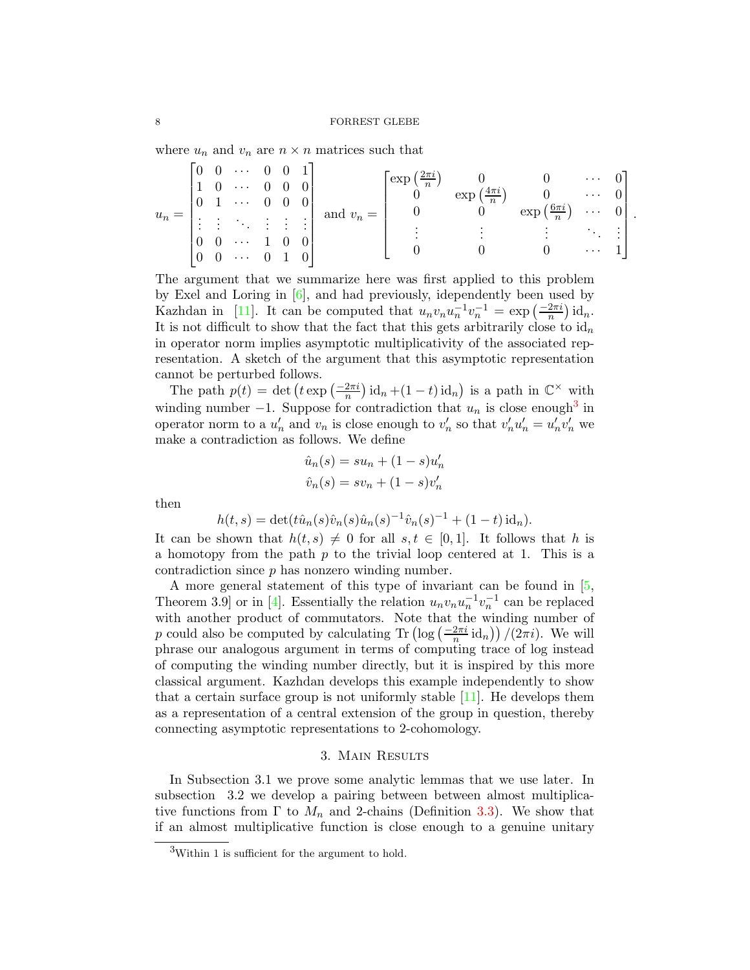<span id="page-7-2"></span>where  $u_n$  and  $v_n$  are  $n \times n$  matrices such that

$$
u_n = \begin{bmatrix} 0 & 0 & \cdots & 0 & 0 & 1 \\ 1 & 0 & \cdots & 0 & 0 & 0 \\ 0 & 1 & \cdots & 0 & 0 & 0 \\ \vdots & \vdots & \ddots & \vdots & \vdots & \vdots \\ 0 & 0 & \cdots & 1 & 0 & 0 \\ 0 & 0 & \cdots & 0 & 1 & 0 \end{bmatrix} \text{ and } v_n = \begin{bmatrix} \exp\left(\frac{2\pi i}{n}\right) & 0 & 0 & \cdots & 0 \\ 0 & \exp\left(\frac{4\pi i}{n}\right) & 0 & \cdots & 0 \\ 0 & 0 & \exp\left(\frac{6\pi i}{n}\right) & \cdots & 0 \\ \vdots & \vdots & \vdots & \ddots & \vdots \\ 0 & 0 & 0 & \cdots & 1 \end{bmatrix}.
$$

The argument that we summarize here was first applied to this problem by Exel and Loring in [\[6\]](#page-34-11), and had previously, idependently been used by Kazhdan in [\[11\]](#page-34-3). It can be computed that  $u_n v_n u_n^{-1} v_n^{-1} = \exp\left(\frac{-2\pi i}{n}\right) \mathrm{id}_n$ . It is not difficult to show that the fact that this gets arbitrarily close to  $\mathrm{id}_n$ in operator norm implies asymptotic multiplicativity of the associated representation. A sketch of the argument that this asymptotic representation cannot be perturbed follows.

The path  $p(t) = \det \left( t \exp \left( \frac{-2\pi i}{n} \right) \mathrm{id}_n + (1-t) \mathrm{id}_n \right)$  is a path in  $\mathbb{C}^\times$  with winding number  $-1$ . Suppose for contradiction that  $u_n$  is close enough<sup>[3](#page-7-1)</sup> in operator norm to a  $u'_n$  and  $v_n$  is close enough to  $v'_n$  so that  $v'_n u'_n = u'_n v'_n$  we make a contradiction as follows. We define

$$
\hat{u}_n(s) = su_n + (1 - s)u'_n
$$
  

$$
\hat{v}_n(s) = sv_n + (1 - s)v'_n
$$

then

$$
h(t,s) = \det(t\hat{u}_n(s)\hat{v}_n(s)\hat{u}_n(s)^{-1}\hat{v}_n(s)^{-1} + (1-t)\mathrm{id}_n).
$$

It can be shown that  $h(t, s) \neq 0$  for all  $s, t \in [0, 1]$ . It follows that h is a homotopy from the path  $p$  to the trivial loop centered at 1. This is a contradiction since  $p$  has nonzero winding number.

A more general statement of this type of invariant can be found in [\[5,](#page-34-1) Theorem 3.9 or in [\[4\]](#page-34-12). Essentially the relation  $u_n v_n u_n^{-1} v_n^{-1}$  can be replaced with another product of commutators. Note that the winding number of p could also be computed by calculating  $\text{Tr} \left( \log \left( \frac{-2\pi i}{n} \text{id}_n \right) \right) / (2\pi i)$ . We will phrase our analogous argument in terms of computing trace of log instead of computing the winding number directly, but it is inspired by this more classical argument. Kazhdan develops this example independently to show that a certain surface group is not uniformly stable  $[11]$ . He develops them as a representation of a central extension of the group in question, thereby connecting asymptotic representations to 2-cohomology.

### 3. Main Results

<span id="page-7-0"></span>In Subsection 3.1 we prove some analytic lemmas that we use later. In subsection 3.2 we develop a pairing between between almost multiplicative functions from  $\Gamma$  to  $M_n$  and 2-chains (Definition [3.3\)](#page-9-1). We show that if an almost multiplicative function is close enough to a genuine unitary

<span id="page-7-1"></span><sup>3</sup>Within 1 is sufficient for the argument to hold.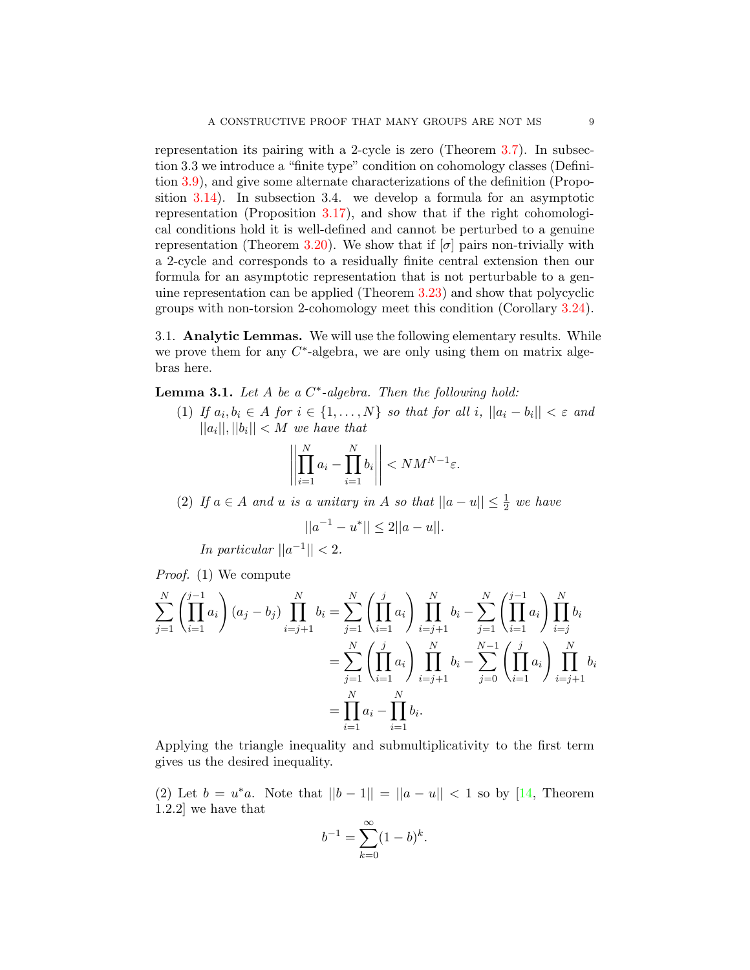<span id="page-8-2"></span>representation its pairing with a 2-cycle is zero (Theorem [3.7\)](#page-11-0). In subsection 3.3 we introduce a "finite type" condition on cohomology classes (Definition [3.9\)](#page-12-1), and give some alternate characterizations of the definition (Proposition [3.14\)](#page-13-0). In subsection 3.4. we develop a formula for an asymptotic representation (Proposition [3.17\)](#page-15-1), and show that if the right cohomological conditions hold it is well-defined and cannot be perturbed to a genuine representation (Theorem [3.20\)](#page-16-0). We show that if  $[\sigma]$  pairs non-trivially with a 2-cycle and corresponds to a residually finite central extension then our formula for an asymptotic representation that is not perturbable to a genuine representation can be applied (Theorem [3.23\)](#page-17-0) and show that polycyclic groups with non-torsion 2-cohomology meet this condition (Corollary [3.24\)](#page-18-1).

<span id="page-8-0"></span>3.1. Analytic Lemmas. We will use the following elementary results. While we prove them for any  $C^*$ -algebra, we are only using them on matrix algebras here.

<span id="page-8-1"></span>**Lemma 3.1.** Let  $A$  be a  $C^*$ -algebra. Then the following hold:

(1) If  $a_i, b_i \in A$  for  $i \in \{1, \ldots, N\}$  so that for all  $i, ||a_i - b_i|| < \varepsilon$  and  $||a_i||, ||b_i|| < M$  we have that

$$
\left\| \prod_{i=1}^N a_i - \prod_{i=1}^N b_i \right\| < NM^{N-1} \varepsilon.
$$

(2) If  $a \in A$  and u is a unitary in A so that  $||a - u|| \leq \frac{1}{2}$  we have

$$
||a^{-1} - u^*|| \le 2||a - u||.
$$

In particular  $||a^{-1}|| < 2$ .

Proof. (1) We compute

$$
\sum_{j=1}^{N} \left( \prod_{i=1}^{j-1} a_i \right) (a_j - b_j) \prod_{i=j+1}^{N} b_i = \sum_{j=1}^{N} \left( \prod_{i=1}^{j} a_i \right) \prod_{i=j+1}^{N} b_i - \sum_{j=1}^{N} \left( \prod_{i=1}^{j-1} a_i \right) \prod_{i=j}^{N} b_i
$$

$$
= \sum_{j=1}^{N} \left( \prod_{i=1}^{j} a_i \right) \prod_{i=j+1}^{N} b_i - \sum_{j=0}^{N-1} \left( \prod_{i=1}^{j} a_i \right) \prod_{i=j+1}^{N} b_i
$$

$$
= \prod_{i=1}^{N} a_i - \prod_{i=1}^{N} b_i.
$$

Applying the triangle inequality and submultiplicativity to the first term gives us the desired inequality.

(2) Let  $b = u^*a$ . Note that  $||b - 1|| = ||a - u|| < 1$  so by [\[14,](#page-34-13) Theorem 1.2.2] we have that

$$
b^{-1} = \sum_{k=0}^{\infty} (1 - b)^k.
$$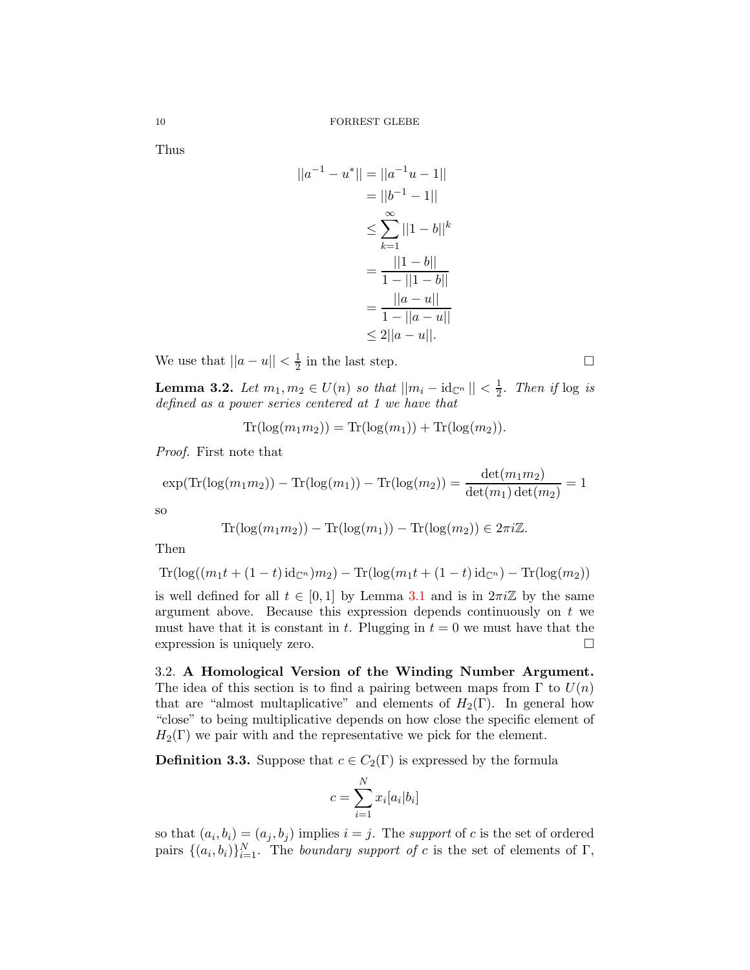Thus

$$
||a^{-1} - u^*|| = ||a^{-1}u - 1||
$$
  
= ||b^{-1} - 1||  

$$
\leq \sum_{k=1}^{\infty} ||1 - b||^k
$$
  
= 
$$
\frac{||1 - b||}{1 - ||1 - b||}
$$
  
= 
$$
\frac{||a - u||}{1 - ||a - u||}
$$
  

$$
\leq 2||a - u||.
$$

We use that  $||a - u|| < \frac{1}{2}$  $\frac{1}{2}$  in the last step.

<span id="page-9-2"></span>**Lemma 3.2.** Let  $m_1, m_2 \in U(n)$  so that  $||m_i - \mathrm{id}_{\mathbb{C}^n}|| < \frac{1}{2}$  $rac{1}{2}$ . Then if  $log is$ defined as a power series centered at 1 we have that

$$
\operatorname{Tr}(\log(m_1 m_2)) = \operatorname{Tr}(\log(m_1)) + \operatorname{Tr}(\log(m_2)).
$$

Proof. First note that

$$
\exp(\text{Tr}(\log(m_1 m_2)) - \text{Tr}(\log(m_1)) - \text{Tr}(\log(m_2)) = \frac{\det(m_1 m_2)}{\det(m_1)\det(m_2)} = 1
$$

so

$$
\operatorname{Tr}(\log(m_1 m_2)) - \operatorname{Tr}(\log(m_1)) - \operatorname{Tr}(\log(m_2)) \in 2\pi i \mathbb{Z}.
$$

Then

$$
Tr(\log((m_1t + (1-t)\mathrm{id}_{\mathbb{C}^n})m_2) - Tr(\log(m_1t + (1-t)\mathrm{id}_{\mathbb{C}^n}) - Tr(\log(m_2))
$$

is well defined for all  $t \in [0,1]$  by Lemma [3.1](#page-8-1) and is in  $2\pi i \mathbb{Z}$  by the same argument above. Because this expression depends continuously on  $t$  we must have that it is constant in t. Plugging in  $t = 0$  we must have that the expression is uniquely zero.

<span id="page-9-0"></span>3.2. A Homological Version of the Winding Number Argument. The idea of this section is to find a pairing between maps from  $\Gamma$  to  $U(n)$ that are "almost multaplicative" and elements of  $H_2(\Gamma)$ . In general how "close" to being multiplicative depends on how close the specific element of  $H_2(\Gamma)$  we pair with and the representative we pick for the element.

<span id="page-9-1"></span>**Definition 3.3.** Suppose that  $c \in C_2(\Gamma)$  is expressed by the formula

$$
c = \sum_{i=1}^{N} x_i [a_i | b_i]
$$

so that  $(a_i, b_i) = (a_j, b_j)$  implies  $i = j$ . The support of c is the set of ordered pairs  $\{(a_i, b_i)\}_{i=1}^N$ . The *boundary support of c* is the set of elements of  $\Gamma$ ,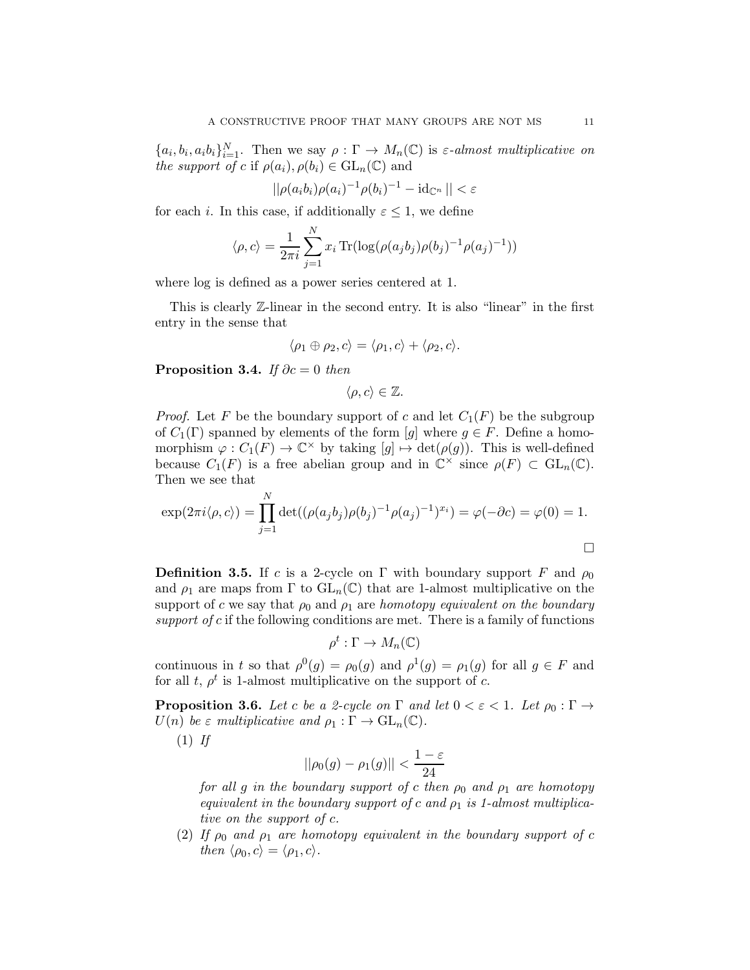${a_i, b_i, a_i b_i}_{i=1}^N$ . Then we say  $\rho : \Gamma \to M_n(\mathbb{C})$  is  $\varepsilon$ -almost multiplicative on the support of c if  $\rho(a_i), \rho(b_i) \in GL_n(\mathbb{C})$  and

$$
||\rho(a_i b_i)\rho(a_i)^{-1}\rho(b_i)^{-1} - \mathrm{id}_{\mathbb{C}^n}|| < \varepsilon
$$

for each i. In this case, if additionally  $\varepsilon \leq 1$ , we define

$$
\langle \rho, c \rangle = \frac{1}{2\pi i} \sum_{j=1}^{N} x_i \text{Tr}(\log(\rho(a_j b_j) \rho(b_j)^{-1} \rho(a_j)^{-1}))
$$

where log is defined as a power series centered at 1.

This is clearly Z-linear in the second entry. It is also "linear" in the first entry in the sense that

$$
\langle \rho_1 \oplus \rho_2, c \rangle = \langle \rho_1, c \rangle + \langle \rho_2, c \rangle.
$$

**Proposition 3.4.** If  $\partial c = 0$  then

$$
\langle \rho, c \rangle \in \mathbb{Z}.
$$

*Proof.* Let F be the boundary support of c and let  $C_1(F)$  be the subgroup of  $C_1(\Gamma)$  spanned by elements of the form [g] where  $g \in F$ . Define a homomorphism  $\varphi : C_1(F) \to \mathbb{C}^\times$  by taking  $[g] \mapsto \det(\rho(g))$ . This is well-defined because  $C_1(F)$  is a free abelian group and in  $\mathbb{C}^{\times}$  since  $\rho(F) \subset GL_n(\mathbb{C})$ . Then we see that

$$
\exp(2\pi i \langle \rho, c \rangle) = \prod_{j=1}^{N} \det((\rho(a_j b_j) \rho(b_j)^{-1} \rho(a_j)^{-1})^{x_i}) = \varphi(-\partial c) = \varphi(0) = 1.
$$

**Definition 3.5.** If c is a 2-cycle on Γ with boundary support F and  $\rho_0$ and  $\rho_1$  are maps from  $\Gamma$  to  $GL_n(\mathbb{C})$  that are 1-almost multiplicative on the support of c we say that  $\rho_0$  and  $\rho_1$  are homotopy equivalent on the boundary support of c if the following conditions are met. There is a family of functions

$$
\rho^t : \Gamma \to M_n(\mathbb{C})
$$

continuous in t so that  $\rho^0(g) = \rho_0(g)$  and  $\rho^1(g) = \rho_1(g)$  for all  $g \in F$  and for all t,  $\rho^t$  is 1-almost multiplicative on the support of c.

<span id="page-10-0"></span>**Proposition 3.6.** Let c be a 2-cycle on  $\Gamma$  and let  $0 < \varepsilon < 1$ . Let  $\rho_0 : \Gamma \to$  $U(n)$  be  $\varepsilon$  multiplicative and  $\rho_1 : \Gamma \to \text{GL}_n(\mathbb{C})$ .

 $(1)$  If

$$
||\rho_0(g) - \rho_1(g)|| < \frac{1-\varepsilon}{24}
$$

for all g in the boundary support of c then  $\rho_0$  and  $\rho_1$  are homotopy equivalent in the boundary support of c and  $\rho_1$  is 1-almost multiplicative on the support of c.

(2) If  $\rho_0$  and  $\rho_1$  are homotopy equivalent in the boundary support of c then  $\langle \rho_0, c \rangle = \langle \rho_1, c \rangle$ .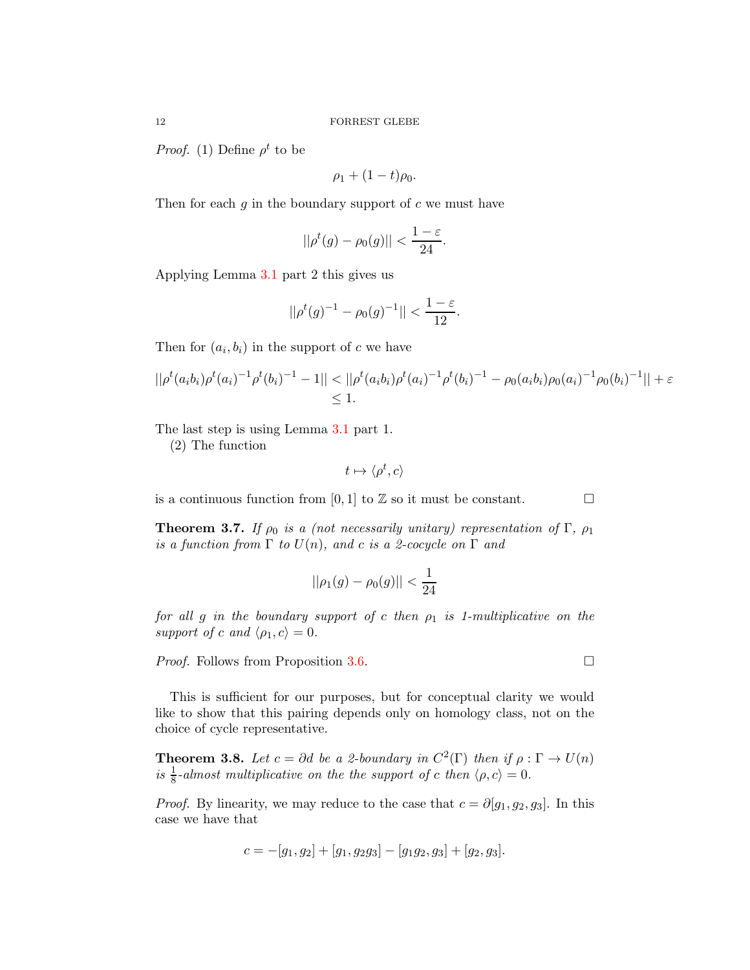*Proof.* (1) Define  $\rho^t$  to be

$$
\rho_1+(1-t)\rho_0.
$$

Then for each q in the boundary support of  $c$  we must have

$$
||\rho^t(g) - \rho_0(g)|| < \frac{1-\varepsilon}{24}.
$$

Applying Lemma [3.1](#page-8-1) part 2 this gives us

$$
||\rho^{t}(g)^{-1} - \rho_{0}(g)^{-1}|| < \frac{1-\varepsilon}{12}.
$$

Then for  $(a_i, b_i)$  in the support of c we have

$$
||\rho^t(a_i b_i)\rho^t(a_i)^{-1}\rho^t(b_i)^{-1} - 1|| < ||\rho^t(a_i b_i)\rho^t(a_i)^{-1}\rho^t(b_i)^{-1} - \rho_0(a_i b_i)\rho_0(a_i)^{-1}\rho_0(b_i)^{-1}|| + \varepsilon
$$
  
\$\leq 1\$.

The last step is using Lemma [3.1](#page-8-1) part 1.

(2) The function

$$
t \mapsto \langle \rho^t, c \rangle
$$

is a continuous function from [0, 1] to  $\mathbb Z$  so it must be constant.  $\Box$ 

<span id="page-11-0"></span>**Theorem 3.7.** If  $\rho_0$  is a (not necessarily unitary) representation of  $\Gamma$ ,  $\rho_1$ is a function from  $\Gamma$  to  $U(n)$ , and c is a 2-cocycle on  $\Gamma$  and

$$
||\rho_1(g) - \rho_0(g)|| < \frac{1}{24}
$$

for all g in the boundary support of c then  $\rho_1$  is 1-multiplicative on the support of c and  $\langle \rho_1, c \rangle = 0$ .

*Proof.* Follows from Proposition [3.6.](#page-10-0) □

This is sufficient for our purposes, but for conceptual clarity we would like to show that this pairing depends only on homology class, not on the choice of cycle representative.

**Theorem 3.8.** Let  $c = \partial d$  be a 2-boundary in  $C^2(\Gamma)$  then if  $\rho : \Gamma \to U(n)$ is  $\frac{1}{8}$ -almost multiplicative on the the support of c then  $\langle \rho, c \rangle = 0$ .

*Proof.* By linearity, we may reduce to the case that  $c = \partial[g_1, g_2, g_3]$ . In this case we have that

$$
c = -[g_1, g_2] + [g_1, g_2g_3] - [g_1g_2, g_3] + [g_2, g_3].
$$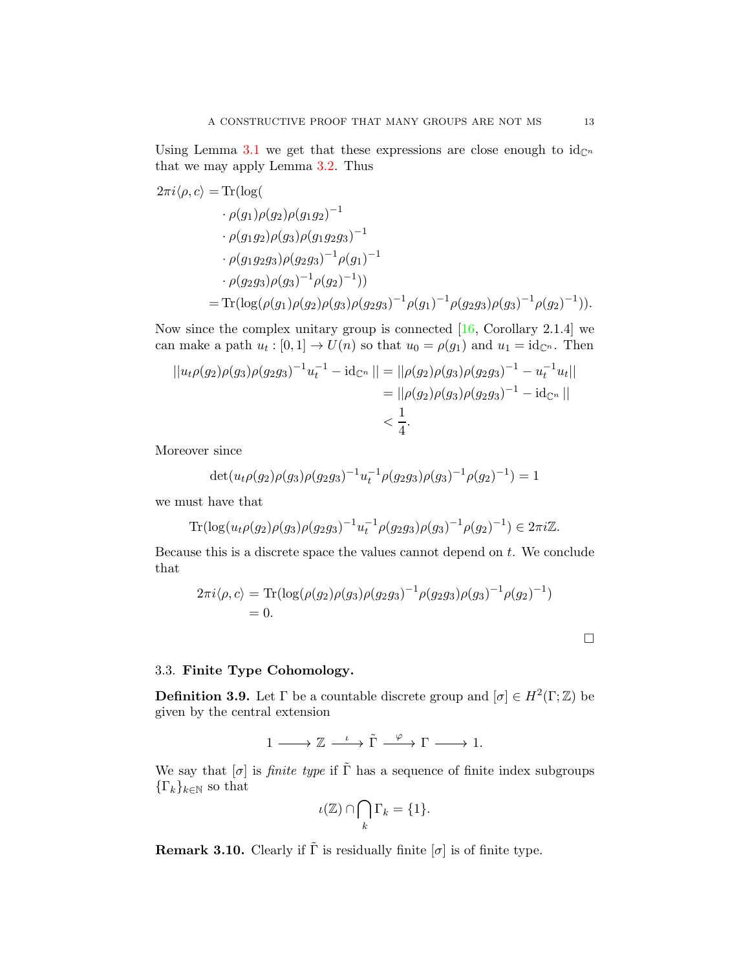<span id="page-12-3"></span>Using Lemma [3.1](#page-8-1) we get that these expressions are close enough to  $id_{\mathbb{C}^n}$ that we may apply Lemma [3.2.](#page-9-2) Thus

$$
2\pi i \langle \rho, c \rangle = \text{Tr}(\log(\rho(g_1 \rho(g_2) \rho(g_1 g_2)^{-1} \cdot \rho(g_1 g_2) \rho(g_3) \rho(g_1 g_2 g_3)^{-1})
$$
  
\n
$$
\cdot \rho(g_1 g_2 g_3) \rho(g_2 g_3)^{-1} \rho(g_1)^{-1}
$$
  
\n
$$
\cdot \rho(g_2 g_3) \rho(g_3)^{-1} \rho(g_2)^{-1})
$$
  
\n
$$
= \text{Tr}(\log(\rho(g_1) \rho(g_2) \rho(g_3) \rho(g_2 g_3)^{-1} \rho(g_1)^{-1} \rho(g_2 g_3) \rho(g_3)^{-1} \rho(g_2)^{-1})).
$$

Now since the complex unitary group is connected  $[16,$  Corollary 2.1.4] we can make a path  $u_t : [0,1] \to U(n)$  so that  $u_0 = \rho(g_1)$  and  $u_1 = id_{\mathbb{C}^n}$ . Then

$$
||u_t \rho(g_2)\rho(g_3)\rho(g_2 g_3)^{-1}u_t^{-1} - id_{\mathbb{C}^n}|| = ||\rho(g_2)\rho(g_3)\rho(g_2 g_3)^{-1} - u_t^{-1}u_t||
$$
  
= 
$$
||\rho(g_2)\rho(g_3)\rho(g_2 g_3)^{-1} - id_{\mathbb{C}^n}||
$$
  
< 
$$
< \frac{1}{4}.
$$

Moreover since

$$
\det(u_t \rho(g_2) \rho(g_3) \rho(g_2 g_3)^{-1} u_t^{-1} \rho(g_2 g_3) \rho(g_3)^{-1} \rho(g_2)^{-1}) = 1
$$

we must have that

$$
\operatorname{Tr}(\log(u_t \rho(g_2)\rho(g_3)\rho(g_2 g_3)^{-1}u_t^{-1}\rho(g_2 g_3)\rho(g_3)^{-1}\rho(g_2)^{-1}) \in 2\pi i\mathbb{Z}.
$$

Because this is a discrete space the values cannot depend on  $t$ . We conclude that

$$
2\pi i \langle \rho, c \rangle = \text{Tr}(\log(\rho(g_2)\rho(g_3)\rho(g_2g_3)^{-1}\rho(g_2g_3)\rho(g_3)^{-1}\rho(g_2)^{-1})
$$
  
= 0.

## <span id="page-12-0"></span>3.3. Finite Type Cohomology.

<span id="page-12-1"></span>**Definition 3.9.** Let  $\Gamma$  be a countable discrete group and  $[\sigma] \in H^2(\Gamma;\mathbb{Z})$  be given by the central extension

$$
1 \longrightarrow \mathbb{Z} \xrightarrow{\iota} \tilde{\Gamma} \xrightarrow{\varphi} \Gamma \longrightarrow 1.
$$

We say that  $[\sigma]$  is *finite type* if  $\tilde{\Gamma}$  has a sequence of finite index subgroups  ${\{\Gamma_k\}_{k\in\mathbb{N}}}$  so that

$$
\iota(\mathbb{Z}) \cap \bigcap_{k} \Gamma_k = \{1\}.
$$

<span id="page-12-2"></span>**Remark 3.10.** Clearly if  $\tilde{\Gamma}$  is residually finite  $[\sigma]$  is of finite type.

 $\Box$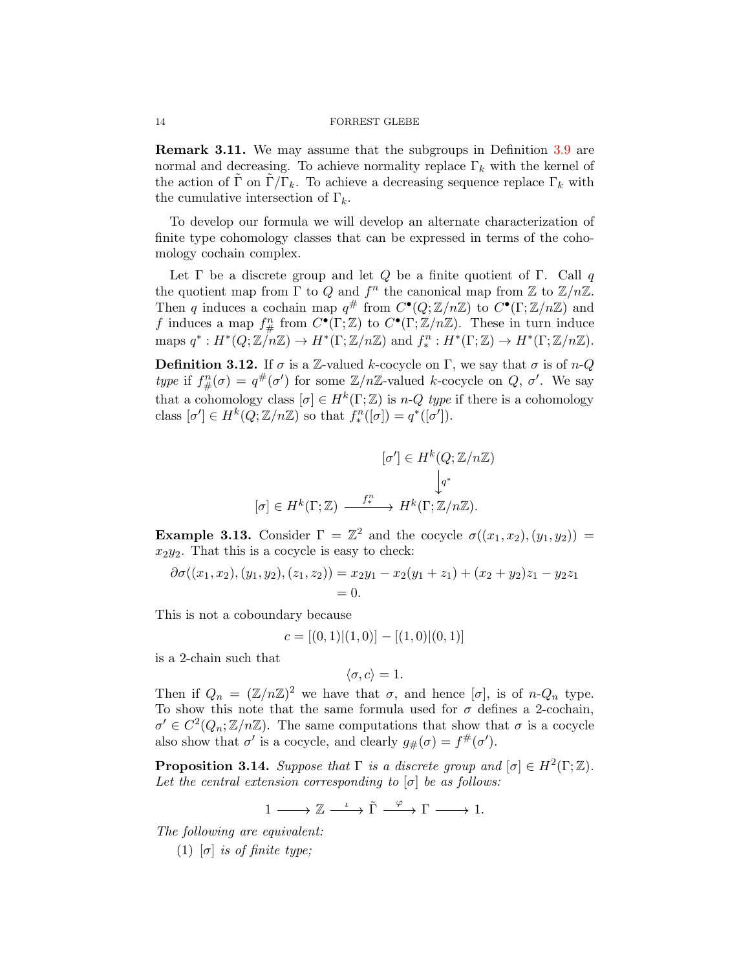<span id="page-13-1"></span>Remark 3.11. We may assume that the subgroups in Definition [3.9](#page-12-1) are normal and decreasing. To achieve normality replace  $\Gamma_k$  with the kernel of the action of Γ on  $\Gamma/\Gamma_k$ . To achieve a decreasing sequence replace  $\Gamma_k$  with the cumulative intersection of  $\Gamma_k$ .

To develop our formula we will develop an alternate characterization of finite type cohomology classes that can be expressed in terms of the cohomology cochain complex.

Let  $\Gamma$  be a discrete group and let  $Q$  be a finite quotient of  $\Gamma$ . Call q the quotient map from  $\Gamma$  to  $Q$  and  $f^n$  the canonical map from  $\mathbb Z$  to  $\mathbb Z/n\mathbb Z$ . Then q induces a cochain map  $q^{\#}$  from  $C^{\bullet}(Q; \mathbb{Z}/n\mathbb{Z})$  to  $C^{\bullet}(\Gamma; \mathbb{Z}/n\mathbb{Z})$  and f induces a map  $f_{\#}^n$  from  $C^{\bullet}(\Gamma;\mathbb{Z})$  to  $C^{\bullet}(\Gamma;\mathbb{Z}/n\mathbb{Z})$ . These in turn induce maps  $q^*: H^*(Q; \mathbb{Z}/n\mathbb{Z}) \to H^*(\Gamma; \mathbb{Z}/n\mathbb{Z})$  and  $f_*^n: H^*(\Gamma; \mathbb{Z}) \to H^*(\Gamma; \mathbb{Z}/n\mathbb{Z})$ .

**Definition 3.12.** If  $\sigma$  is a Z-valued k-cocycle on Γ, we say that  $\sigma$  is of n-Q type if  $f_{\#}^{n}(\sigma) = q^{\#}(\sigma')$  for some  $\mathbb{Z}/n\mathbb{Z}$ -valued k-cocycle on  $Q, \sigma'$ . We say that a cohomology class  $[\sigma] \in H^k(\Gamma;\mathbb{Z})$  is n-Q type if there is a cohomology class  $[\sigma'] \in H^k(Q; \mathbb{Z}/n\mathbb{Z})$  so that  $f_*^n([\sigma]) = q^*([\sigma'])$ .

$$
[\sigma'] \in H^k(Q; \mathbb{Z}/n\mathbb{Z})
$$

$$
[\sigma] \in H^k(\Gamma; \mathbb{Z}) \xrightarrow{f^n_*} H^k(\Gamma; \mathbb{Z}/n\mathbb{Z}).
$$

<span id="page-13-2"></span>**Example 3.13.** Consider  $\Gamma = \mathbb{Z}^2$  and the cocycle  $\sigma((x_1, x_2), (y_1, y_2)) =$  $x_2y_2$ . That this is a cocycle is easy to check:

$$
\partial \sigma((x_1, x_2), (y_1, y_2), (z_1, z_2)) = x_2y_1 - x_2(y_1 + z_1) + (x_2 + y_2)z_1 - y_2z_1
$$
  
= 0.

This is not a coboundary because

$$
c = [(0,1)| (1,0)] - [(1,0)| (0,1)]
$$

is a 2-chain such that

$$
\langle \sigma, c \rangle = 1.
$$

Then if  $Q_n = (\mathbb{Z}/n\mathbb{Z})^2$  we have that  $\sigma$ , and hence  $[\sigma]$ , is of n- $Q_n$  type. To show this note that the same formula used for  $\sigma$  defines a 2-cochain,  $\sigma' \in C^2(Q_n; \mathbb{Z}/n\mathbb{Z})$ . The same computations that show that  $\sigma$  is a cocycle also show that  $\sigma'$  is a cocycle, and clearly  $g_{\#}(\sigma) = f^{\#}(\sigma')$ .

<span id="page-13-0"></span>**Proposition 3.14.** Suppose that  $\Gamma$  is a discrete group and  $[\sigma] \in H^2(\Gamma;\mathbb{Z})$ . Let the central extension corresponding to  $[\sigma]$  be as follows:

$$
1 \longrightarrow \mathbb{Z} \xrightarrow{\iota} \tilde{\Gamma} \xrightarrow{\varphi} \Gamma \longrightarrow 1.
$$

The following are equivalent:

(1)  $[\sigma]$  is of finite type;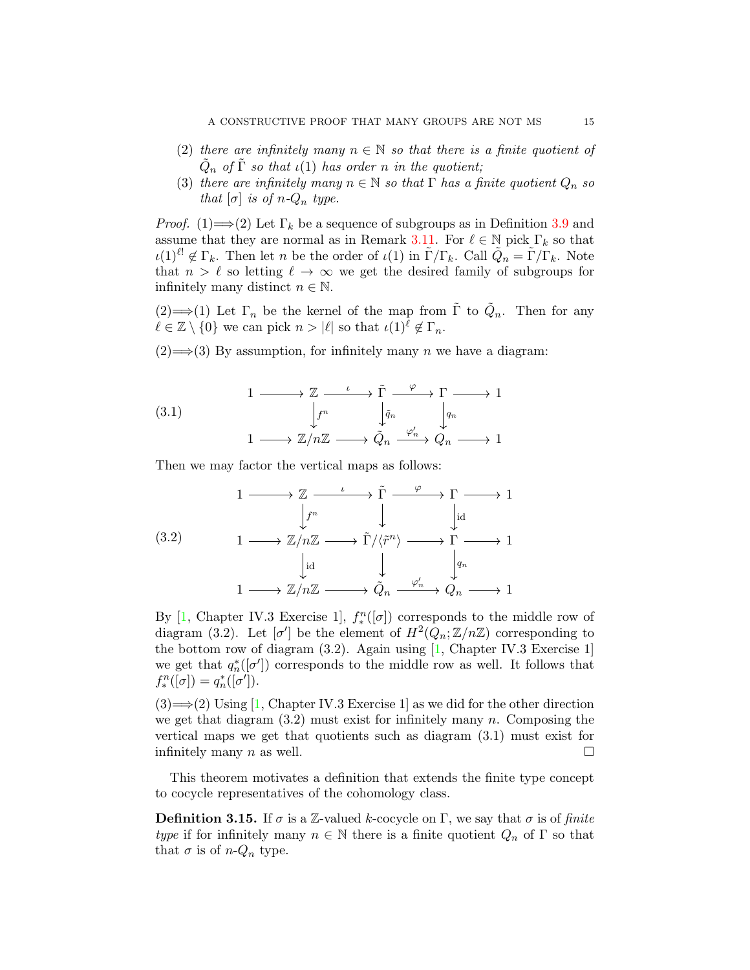- <span id="page-14-0"></span>(2) there are infinitely many  $n \in \mathbb{N}$  so that there is a finite quotient of  $\tilde{Q}_n$  of  $\tilde{\Gamma}$  so that  $\iota(1)$  has order n in the quotient;
- (3) there are infinitely many  $n \in \mathbb{N}$  so that  $\Gamma$  has a finite quotient  $Q_n$  so that  $[\sigma]$  is of n- $Q_n$  type.

*Proof.* (1)  $\Longrightarrow$  (2) Let  $\Gamma_k$  be a sequence of subgroups as in Definition [3.9](#page-12-1) and assume that they are normal as in Remark [3.11.](#page-13-1) For  $\ell \in \mathbb{N}$  pick  $\Gamma_k$  so that  $\iota(1)^{\ell} \notin \Gamma_k$ . Then let n be the order of  $\iota(1)$  in  $\tilde{\Gamma}/\Gamma_k$ . Call  $\tilde{Q}_n = \tilde{\Gamma}/\Gamma_k$ . Note that  $n > \ell$  so letting  $\ell \to \infty$  we get the desired family of subgroups for infinitely many distinct  $n \in \mathbb{N}$ .

(2)  $\Longrightarrow$  (1) Let  $\Gamma_n$  be the kernel of the map from  $\tilde{\Gamma}$  to  $\tilde{Q}_n$ . Then for any  $\ell \in \mathbb{Z} \setminus \{0\}$  we can pick  $n > |\ell|$  so that  $\iota(1)^{\ell} \notin \Gamma_n$ .

 $(2) \Longrightarrow (3)$  By assumption, for infinitely many *n* we have a diagram:

(3.1)  
\n
$$
\begin{array}{ccc}\n1 & \longrightarrow & \mathbb{Z} & \xrightarrow{\iota} & \tilde{\Gamma} & \xrightarrow{\varphi} & \Gamma \longrightarrow 1 \\
\downarrow^{f^n} & & \downarrow^{\tilde{q}_n} & & \downarrow^{q_n} \\
1 & \longrightarrow & \mathbb{Z}/n\mathbb{Z} & \longrightarrow & \tilde{Q}_n & \xrightarrow{\varphi'_n} & \tilde{Q}_n & \longrightarrow 1\n\end{array}
$$

Then we may factor the vertical maps as follows:

$$
\begin{array}{ccc}\n & 1 \longrightarrow \mathbb{Z} & \xrightarrow{\iota} & \widetilde{\Gamma} & \xrightarrow{\varphi} & \Gamma \longrightarrow 1 \\
 & \downarrow^{f^n} & \downarrow & \downarrow^{id} \\
 & 1 \longrightarrow \mathbb{Z}/n\mathbb{Z} & \xrightarrow{\iota} & \widetilde{\Gamma}/\langle \widetilde{r}^n \rangle & \longrightarrow \Gamma \longrightarrow 1 \\
 & \downarrow^{id} & \downarrow & \downarrow^{g_n} \\
 & 1 \longrightarrow \mathbb{Z}/n\mathbb{Z} & \xrightarrow{\varphi'_n} & \widetilde{Q}_n & \xrightarrow{\varphi'_n} & \longrightarrow 1\n\end{array}
$$

By [\[1,](#page-34-5) Chapter IV.3 Exercise 1],  $f_*^n([\sigma])$  corresponds to the middle row of diagram (3.2). Let  $[\sigma']$  be the element of  $H^2(Q_n;\mathbb{Z}/n\mathbb{Z})$  corresponding to the bottom row of diagram (3.2). Again using [\[1,](#page-34-5) Chapter IV.3 Exercise 1] we get that  $q_n^*([\sigma'])$  corresponds to the middle row as well. It follows that  $f_*^n([\sigma]) = q_n^*([\sigma']).$ 

 $(3) \rightarrow (2)$  Using [\[1,](#page-34-5) Chapter IV.3 Exercise 1] as we did for the other direction we get that diagram  $(3.2)$  must exist for infinitely many n. Composing the vertical maps we get that quotients such as diagram (3.1) must exist for infinitely many n as well.  $\square$ 

This theorem motivates a definition that extends the finite type concept to cocycle representatives of the cohomology class.

**Definition 3.15.** If  $\sigma$  is a Z-valued k-cocycle on  $\Gamma$ , we say that  $\sigma$  is of finite type if for infinitely many  $n \in \mathbb{N}$  there is a finite quotient  $Q_n$  of  $\Gamma$  so that that  $\sigma$  is of  $n-Q_n$  type.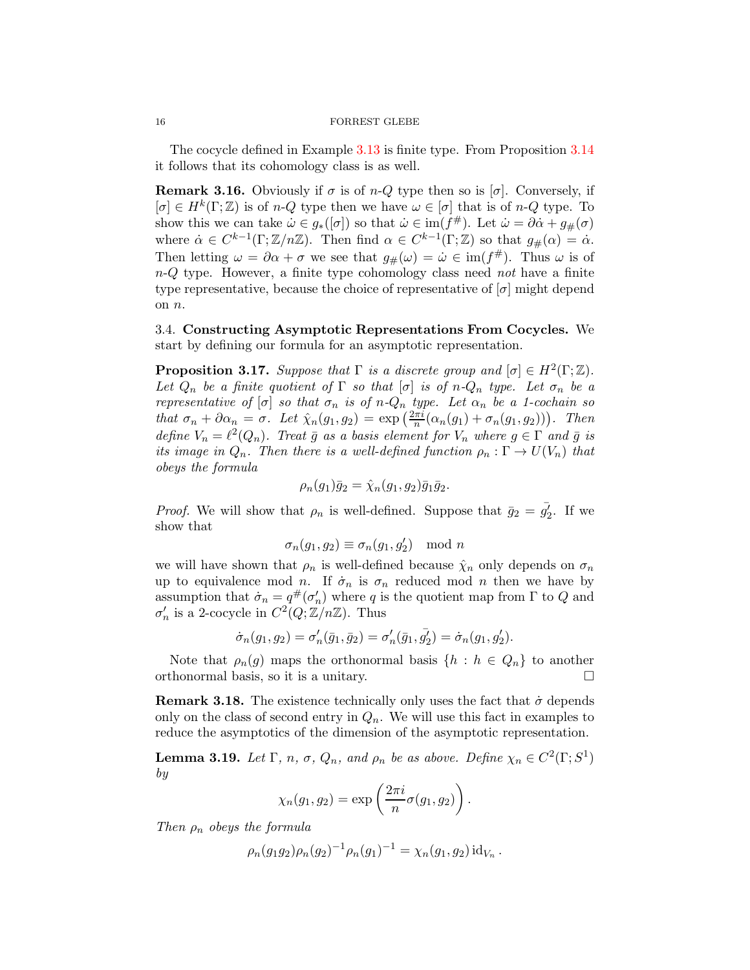#### 16 FORREST GLEBE

The cocycle defined in Example [3.13](#page-13-2) is finite type. From Proposition [3.14](#page-13-0) it follows that its cohomology class is as well.

**Remark 3.16.** Obviously if  $\sigma$  is of n-Q type then so is  $[\sigma]$ . Conversely, if  $[\sigma] \in H^k(\Gamma;\mathbb{Z})$  is of n-Q type then we have  $\omega \in [\sigma]$  that is of n-Q type. To show this we can take  $\dot{\omega} \in g_*([\sigma])$  so that  $\dot{\omega} \in \text{im}(f^{\#})$ . Let  $\dot{\omega} = \partial \dot{\alpha} + g_{\#}(\sigma)$ where  $\dot{\alpha} \in C^{k-1}(\Gamma;\mathbb{Z}/n\mathbb{Z})$ . Then find  $\alpha \in C^{k-1}(\Gamma;\mathbb{Z})$  so that  $g_{\#}(\alpha) = \dot{\alpha}$ . Then letting  $\omega = \partial \alpha + \sigma$  we see that  $g_{\#}(\omega) = \dot{\omega} \in \text{im}(f^{\#})$ . Thus  $\omega$  is of  $n-Q$  type. However, a finite type cohomology class need not have a finite type representative, because the choice of representative of  $[\sigma]$  might depend on n.

<span id="page-15-0"></span>3.4. Constructing Asymptotic Representations From Cocycles. We start by defining our formula for an asymptotic representation.

<span id="page-15-1"></span>**Proposition 3.17.** Suppose that  $\Gamma$  is a discrete group and  $[\sigma] \in H^2(\Gamma;\mathbb{Z})$ . Let  $Q_n$  be a finite quotient of  $\Gamma$  so that  $[\sigma]$  is of n- $Q_n$  type. Let  $\sigma_n$  be a representative of  $[\sigma]$  so that  $\sigma_n$  is of  $n-Q_n$  type. Let  $\alpha_n$  be a 1-cochain so that  $\sigma_n + \partial \alpha_n = \sigma$ . Let  $\hat{\chi}_n(g_1, g_2) = \exp\left(\frac{2\pi i}{n}(\alpha_n(g_1) + \sigma_n(g_1, g_2))\right)$ . Then define  $V_n = \ell^2(Q_n)$ . Treat  $\bar{g}$  as a basis element for  $V_n$  where  $g \in \Gamma$  and  $\bar{g}$  is its image in  $Q_n$ . Then there is a well-defined function  $\rho_n : \Gamma \to U(V_n)$  that obeys the formula

$$
\rho_n(g_1)\overline{g}_2=\hat{\chi}_n(g_1,g_2)\overline{g}_1\overline{g}_2.
$$

*Proof.* We will show that  $\rho_n$  is well-defined. Suppose that  $\bar{g}_2 = \bar{g}_2'$ . If we show that

$$
\sigma_n(g_1, g_2) \equiv \sigma_n(g_1, g_2') \mod n
$$

we will have shown that  $\rho_n$  is well-defined because  $\hat{\chi}_n$  only depends on  $\sigma_n$ up to equivalence mod n. If  $\dot{\sigma}_n$  is  $\sigma_n$  reduced mod n then we have by assumption that  $\dot{\sigma}_n = q^{\#}(\sigma'_n)$  where q is the quotient map from  $\Gamma$  to Q and  $\sigma'_n$  is a 2-cocycle in  $C^2(Q;\mathbb{Z}/n\mathbb{Z})$ . Thus

$$
\dot{\sigma}_n(g_1, g_2) = \sigma'_n(\bar{g}_1, \bar{g}_2) = \sigma'_n(\bar{g}_1, \bar{g'_2}) = \dot{\sigma}_n(g_1, g'_2).
$$

Note that  $\rho_n(g)$  maps the orthonormal basis  $\{h : h \in Q_n\}$  to another orthonormal basis, so it is a unitary.

<span id="page-15-3"></span>**Remark 3.18.** The existence technically only uses the fact that  $\dot{\sigma}$  depends only on the class of second entry in  $Q_n$ . We will use this fact in examples to reduce the asymptotics of the dimension of the asymptotic representation.

<span id="page-15-2"></span>**Lemma 3.19.** Let  $\Gamma$ , n,  $\sigma$ ,  $Q_n$ , and  $\rho_n$  be as above. Define  $\chi_n \in C^2(\Gamma; S^1)$ by

$$
\chi_n(g_1,g_2)=\exp\left(\frac{2\pi i}{n}\sigma(g_1,g_2)\right).
$$

Then  $\rho_n$  obeys the formula

$$
\rho_n(g_1g_2)\rho_n(g_2)^{-1}\rho_n(g_1)^{-1}=\chi_n(g_1,g_2)\mathrm{id}_{V_n}.
$$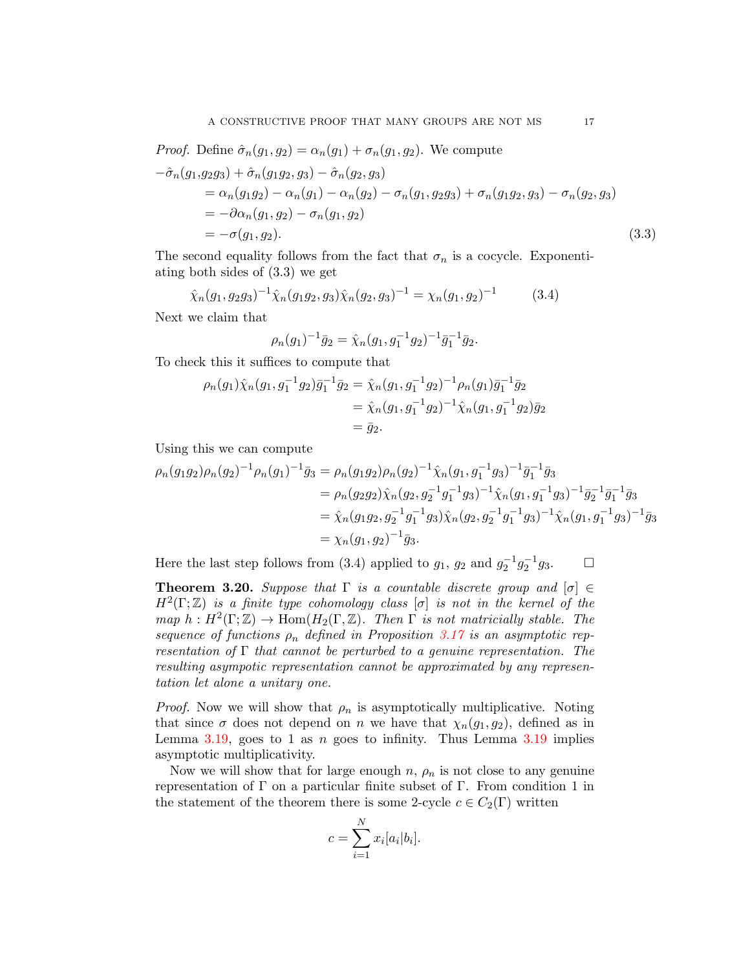*Proof.* Define 
$$
\hat{\sigma}_n(g_1, g_2) = \alpha_n(g_1) + \sigma_n(g_1, g_2)
$$
. We compute  
\n
$$
-\hat{\sigma}_n(g_1, g_2g_3) + \hat{\sigma}_n(g_1g_2, g_3) - \hat{\sigma}_n(g_2, g_3)
$$
\n
$$
= \alpha_n(g_1g_2) - \alpha_n(g_1) - \alpha_n(g_2) - \sigma_n(g_1, g_2g_3) + \sigma_n(g_1g_2, g_3) - \sigma_n(g_2, g_3)
$$
\n
$$
= -\partial \alpha_n(g_1, g_2) - \sigma_n(g_1, g_2)
$$
\n
$$
= -\sigma(g_1, g_2).
$$
\n(3.3)

The second equality follows from the fact that  $\sigma_n$  is a cocycle. Exponentiating both sides of (3.3) we get

$$
\hat{\chi}_n(g_1, g_2 g_3)^{-1} \hat{\chi}_n(g_1 g_2, g_3) \hat{\chi}_n(g_2, g_3)^{-1} = \chi_n(g_1, g_2)^{-1}
$$
 (3.4)

Next we claim that

$$
\rho_n(g_1)^{-1}\bar{g}_2 = \hat{\chi}_n(g_1, g_1^{-1}g_2)^{-1}\bar{g}_1^{-1}\bar{g}_2.
$$

To check this it suffices to compute that

$$
\rho_n(g_1)\hat{\chi}_n(g_1, g_1^{-1}g_2)\bar{g}_1^{-1}\bar{g}_2 = \hat{\chi}_n(g_1, g_1^{-1}g_2)^{-1}\rho_n(g_1)\bar{g}_1^{-1}\bar{g}_2
$$
  
=  $\hat{\chi}_n(g_1, g_1^{-1}g_2)^{-1}\hat{\chi}_n(g_1, g_1^{-1}g_2)\bar{g}_2$   
=  $\bar{g}_2$ .

Using this we can compute

$$
\rho_n(g_1g_2)\rho_n(g_2)^{-1}\rho_n(g_1)^{-1}\bar{g}_3 = \rho_n(g_1g_2)\rho_n(g_2)^{-1}\hat{\chi}_n(g_1,g_1^{-1}g_3)^{-1}\bar{g}_1^{-1}\bar{g}_3 \n= \rho_n(g_2g_2)\hat{\chi}_n(g_2,g_2^{-1}g_1^{-1}g_3)^{-1}\hat{\chi}_n(g_1,g_1^{-1}g_3)^{-1}\bar{g}_2^{-1}\bar{g}_1^{-1}\bar{g}_3 \n= \hat{\chi}_n(g_1g_2,g_2^{-1}g_1^{-1}g_3)\hat{\chi}_n(g_2,g_2^{-1}g_1^{-1}g_3)^{-1}\hat{\chi}_n(g_1,g_1^{-1}g_3)^{-1}\bar{g}_3 \n= \chi_n(g_1,g_2)^{-1}\bar{g}_3.
$$

Here the last step follows from (3.4) applied to  $g_1$ ,  $g_2$  and  $g_2^{-1}g_2^{-1}g_3$ .  $\Box$ 

<span id="page-16-0"></span>**Theorem 3.20.** Suppose that  $\Gamma$  is a countable discrete group and  $[\sigma] \in$  $H^2(\Gamma;\mathbb{Z})$  is a finite type cohomology class  $[\sigma]$  is not in the kernel of the map  $h: H^2(\Gamma;\mathbb{Z}) \to \text{Hom}(H_2(\Gamma,\mathbb{Z})$ . Then  $\Gamma$  is not matricially stable. The sequence of functions  $\rho_n$  defined in Proposition [3.17](#page-15-1) is an asymptotic representation of  $\Gamma$  that cannot be perturbed to a genuine representation. The resulting asympotic representation cannot be approximated by any representation let alone a unitary one.

*Proof.* Now we will show that  $\rho_n$  is asymptotically multiplicative. Noting that since  $\sigma$  does not depend on n we have that  $\chi_n(g_1, g_2)$ , defined as in Lemma [3.19,](#page-15-2) goes to 1 as n goes to infinity. Thus Lemma  $3.19$  implies asymptotic multiplicativity.

Now we will show that for large enough  $n$ ,  $\rho_n$  is not close to any genuine representation of  $\Gamma$  on a particular finite subset of  $\Gamma$ . From condition 1 in the statement of the theorem there is some 2-cycle  $c \in C_2(\Gamma)$  written

$$
c = \sum_{i=1}^{N} x_i [a_i | b_i].
$$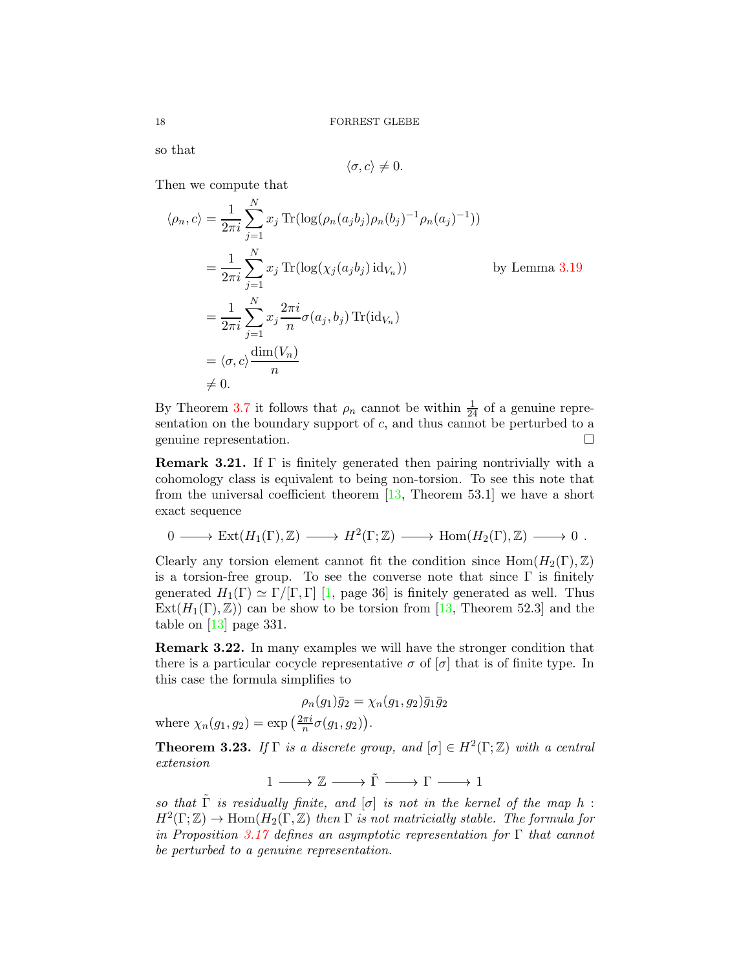so that

$$
\langle \sigma, c \rangle \neq 0.
$$

Then we compute that

N

$$
\langle \rho_n, c \rangle = \frac{1}{2\pi i} \sum_{j=1}^N x_j \operatorname{Tr}(\log(\rho_n(a_j b_j) \rho_n(b_j)^{-1} \rho_n(a_j)^{-1}))
$$
  
\n
$$
= \frac{1}{2\pi i} \sum_{j=1}^N x_j \operatorname{Tr}(\log(\chi_j(a_j b_j) \operatorname{id}_{V_n})) \qquad \text{by Lemma 3.19}
$$
  
\n
$$
= \frac{1}{2\pi i} \sum_{j=1}^N x_j \frac{2\pi i}{n} \sigma(a_j, b_j) \operatorname{Tr}(\operatorname{id}_{V_n})
$$
  
\n
$$
= \langle \sigma, c \rangle \frac{\dim(V_n)}{n}
$$
  
\n
$$
\neq 0.
$$

By Theorem [3.7](#page-11-0) it follows that  $\rho_n$  cannot be within  $\frac{1}{24}$  of a genuine representation on the boundary support of  $c$ , and thus cannot be perturbed to a genuine representation.

<span id="page-17-1"></span>**Remark 3.21.** If  $\Gamma$  is finitely generated then pairing nontrivially with a cohomology class is equivalent to being non-torsion. To see this note that from the universal coefficient theorem  $[13,$  Theorem 53.1] we have a short exact sequence

$$
0 \longrightarrow \text{Ext}(H_1(\Gamma), \mathbb{Z}) \longrightarrow H^2(\Gamma; \mathbb{Z}) \longrightarrow \text{Hom}(H_2(\Gamma), \mathbb{Z}) \longrightarrow 0 .
$$

Clearly any torsion element cannot fit the condition since  $\text{Hom}(H_2(\Gamma),\mathbb{Z})$ is a torsion-free group. To see the converse note that since  $\Gamma$  is finitely generated  $H_1(\Gamma) \simeq \Gamma/[\Gamma, \Gamma]$  [\[1,](#page-34-5) page 36] is finitely generated as well. Thus  $Ext(H_1(\Gamma),\mathbb{Z})$  can be show to be torsion from [\[13,](#page-34-15) Theorem 52.3] and the table on [\[13\]](#page-34-15) page 331.

<span id="page-17-2"></span>Remark 3.22. In many examples we will have the stronger condition that there is a particular cocycle representative  $\sigma$  of  $[\sigma]$  that is of finite type. In this case the formula simplifies to

$$
\rho_n(g_1)\bar{g}_2=\chi_n(g_1,g_2)\bar{g}_1\bar{g}_2
$$

where  $\chi_n(g_1, g_2) = \exp\left(\frac{2\pi i}{n}\sigma(g_1, g_2)\right)$ .

<span id="page-17-0"></span>**Theorem 3.23.** If  $\Gamma$  is a discrete group, and  $[\sigma] \in H^2(\Gamma;\mathbb{Z})$  with a central extension

 $1 \longrightarrow \mathbb{Z} \longrightarrow \tilde{\Gamma} \longrightarrow \Gamma \longrightarrow 1$ 

so that  $\tilde{\Gamma}$  is residually finite, and  $[\sigma]$  is not in the kernel of the map h:  $H^2(\Gamma;\mathbb{Z}) \to \text{Hom}(H_2(\Gamma,\mathbb{Z})$  then  $\Gamma$  is not matricially stable. The formula for in Proposition [3.17](#page-15-1) defines an asymptotic representation for  $\Gamma$  that cannot be perturbed to a genuine representation.

<span id="page-17-3"></span>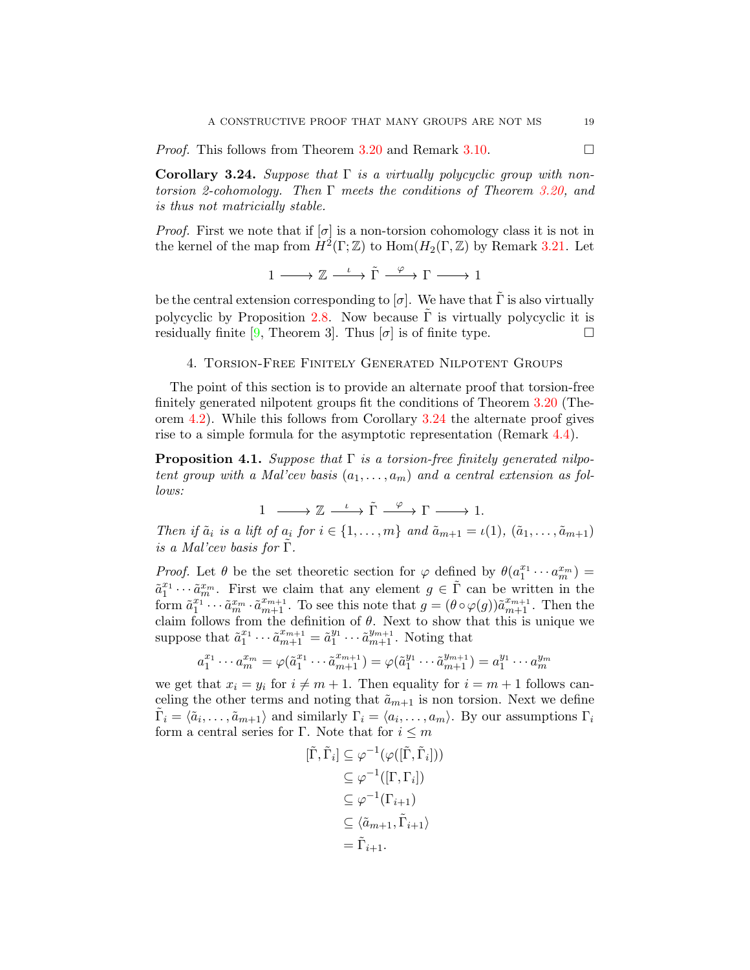<span id="page-18-3"></span>*Proof.* This follows from Theorem [3.20](#page-16-0) and Remark [3.10.](#page-12-2)

<span id="page-18-1"></span>Corollary 3.24. Suppose that  $\Gamma$  is a virtually polycyclic group with nontorsion 2-cohomology. Then  $\Gamma$  meets the conditions of Theorem [3.20,](#page-16-0) and is thus not matricially stable.

*Proof.* First we note that if  $[\sigma]$  is a non-torsion cohomology class it is not in the kernel of the map from  $H^2(\Gamma;\mathbb{Z})$  to  $\text{Hom}(H_2(\Gamma,\mathbb{Z})$  by Remark [3.21.](#page-17-1) Let

 $1 \longrightarrow \mathbb{Z} \xrightarrow{\iota} \tilde{\Gamma} \xrightarrow{\varphi} \Gamma \longrightarrow 1$ 

be the central extension corresponding to  $[\sigma]$ . We have that  $\Gamma$  is also virtually polycyclic by Proposition [2.8.](#page-5-1) Now because  $\Gamma$  is virtually polycyclic it is residually finite [\[9,](#page-34-7) Theorem 3]. Thus  $[\sigma]$  is of finite type.

## <span id="page-18-0"></span>4. Torsion-Free Finitely Generated Nilpotent Groups

The point of this section is to provide an alternate proof that torsion-free finitely generated nilpotent groups fit the conditions of Theorem [3.20](#page-16-0) (Theorem [4.2\)](#page-19-0). While this follows from Corollary [3.24](#page-18-1) the alternate proof gives rise to a simple formula for the asymptotic representation (Remark [4.4\)](#page-20-1).

<span id="page-18-2"></span>**Proposition 4.1.** Suppose that  $\Gamma$  is a torsion-free finitely generated nilpotent group with a Mal'cev basis  $(a_1, \ldots, a_m)$  and a central extension as follows:

 $1 \longrightarrow \mathbb{Z} \longrightarrow \tilde{\Gamma} \longrightarrow \tilde{\Gamma} \longrightarrow \Gamma \longrightarrow 1.$ 

Then if  $\tilde{a}_i$  is a lift of  $a_i$  for  $i \in \{1, \ldots, m\}$  and  $\tilde{a}_{m+1} = \iota(1), (\tilde{a}_1, \ldots, \tilde{a}_{m+1})$ is a Mal'cev basis for  $\Gamma$ .

*Proof.* Let  $\theta$  be the set theoretic section for  $\varphi$  defined by  $\theta(a_1^{x_1} \cdots a_m^{x_m}) =$  $\tilde{a}_1^{x_1} \cdots \tilde{a}_m^{x_m}$ . First we claim that any element  $g \in \tilde{\Gamma}$  can be written in the form  $\tilde{a}_1^{x_1\cdots} \cdots \tilde{a}_m^{x_m} \cdot \tilde{a}_{m+1}^{x_{m+1}}$ . To see this note that  $g = (\theta \circ \varphi(g))\tilde{a}_{m+1}^{x_{m+1}}$ . Then the claim follows from the definition of  $\theta$ . Next to show that this is unique we suppose that  $\tilde{a}_1^{x_1} \cdots \tilde{a}_{m+1}^{x_{m+1}} = \tilde{a}_1^{y_1}$  $a_1^{y_1} \cdots \tilde{a}_{m+1}^{y_{m+1}}$ . Noting that

$$
a_1^{x_1} \cdots a_m^{x_m} = \varphi(\tilde{a}_1^{x_1} \cdots \tilde{a}_{m+1}^{x_{m+1}}) = \varphi(\tilde{a}_1^{y_1} \cdots \tilde{a}_{m+1}^{y_{m+1}}) = a_1^{y_1} \cdots a_m^{y_m}
$$

we get that  $x_i = y_i$  for  $i \neq m + 1$ . Then equality for  $i = m + 1$  follows canceling the other terms and noting that  $\tilde{a}_{m+1}$  is non torsion. Next we define  $\tilde{\Gamma}_i = \langle \tilde{a}_i, \ldots, \tilde{a}_{m+1} \rangle$  and similarly  $\Gamma_i = \langle a_i, \ldots, a_m \rangle$ . By our assumptions  $\Gamma_i$ form a central series for Γ. Note that for  $i \leq m$ 

$$
[\tilde{\Gamma}, \tilde{\Gamma}_i] \subseteq \varphi^{-1}(\varphi([\tilde{\Gamma}, \tilde{\Gamma}_i]))
$$
  
\n
$$
\subseteq \varphi^{-1}([\Gamma, \Gamma_i])
$$
  
\n
$$
\subseteq \varphi^{-1}(\Gamma_{i+1})
$$
  
\n
$$
\subseteq \langle \tilde{a}_{m+1}, \tilde{\Gamma}_{i+1} \rangle
$$
  
\n
$$
= \tilde{\Gamma}_{i+1}.
$$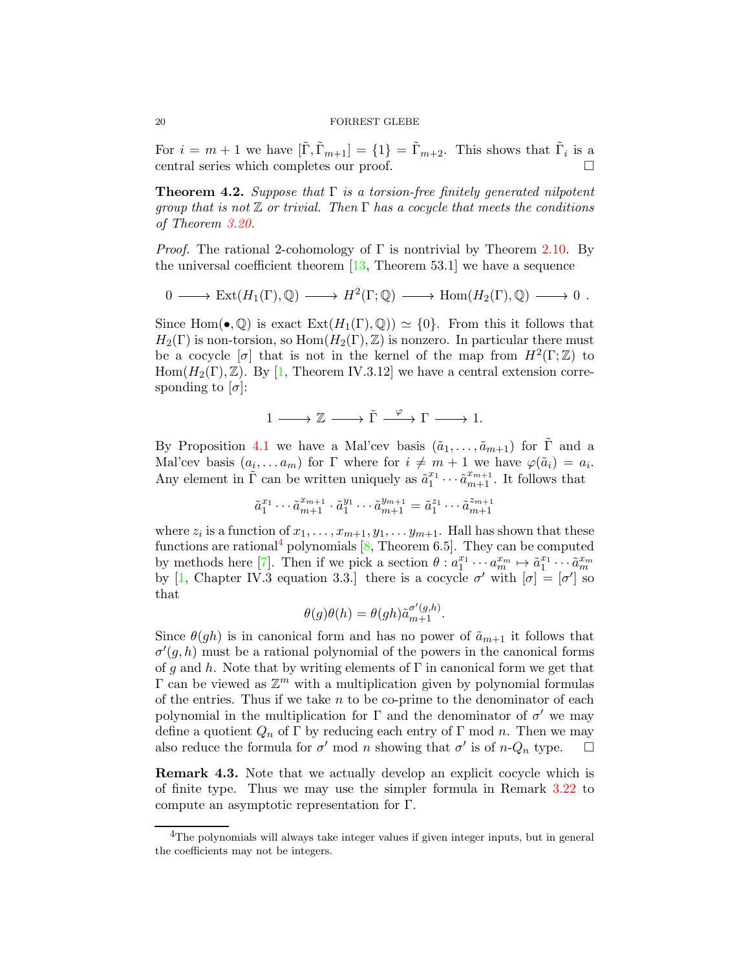For  $i = m + 1$  we have  $[\tilde{\Gamma}, \tilde{\Gamma}_{m+1}] = \{1\} = \tilde{\Gamma}_{m+2}$ . This shows that  $\tilde{\Gamma}_i$  is a central series which completes our proof.

<span id="page-19-0"></span>**Theorem 4.2.** Suppose that  $\Gamma$  is a torsion-free finitely generated nilpotent group that is not  $\mathbb Z$  or trivial. Then  $\Gamma$  has a cocycle that meets the conditions of Theorem [3.20.](#page-16-0)

*Proof.* The rational 2-cohomology of  $\Gamma$  is nontrivial by Theorem [2.10.](#page-6-2) By the universal coefficient theorem  $[13,$  Theorem 53.1] we have a sequence

$$
0 \longrightarrow \text{Ext}(H_1(\Gamma), \mathbb{Q}) \longrightarrow H^2(\Gamma; \mathbb{Q}) \longrightarrow \text{Hom}(H_2(\Gamma), \mathbb{Q}) \longrightarrow 0.
$$

Since Hom( $\bullet$ ,  $\mathbb{Q}$ ) is exact  $\text{Ext}(H_1(\Gamma), \mathbb{Q}) \simeq \{0\}$ . From this it follows that  $H_2(\Gamma)$  is non-torsion, so  $\text{Hom}(H_2(\Gamma),\mathbb{Z})$  is nonzero. In particular there must be a cocycle  $[\sigma]$  that is not in the kernel of the map from  $H^2(\Gamma;\mathbb{Z})$  to  $Hom(H_2(\Gamma), \mathbb{Z})$ . By [\[1,](#page-34-5) Theorem IV.3.12] we have a central extension corresponding to  $[\sigma]$ :

$$
1\longrightarrow \mathbb{Z}\longrightarrow \tilde{\Gamma}\stackrel{\varphi}{\longrightarrow} \Gamma\longrightarrow 1.
$$

By Proposition [4.1](#page-18-2) we have a Mal'cev basis  $(\tilde{a}_1, \ldots, \tilde{a}_{m+1})$  for  $\tilde{\Gamma}$  and a Mal'cev basis  $(a_i, \ldots a_m)$  for  $\Gamma$  where for  $i \neq m+1$  we have  $\varphi(\tilde{a}_i) = a_i$ . Any element in  $\tilde{\Gamma}$  can be written uniquely as  $\tilde{a}_1^{x_1} \cdots \tilde{a}_{m+1}^{x_{m+1}}$ . It follows that

$$
\tilde a_1^{x_1}\cdots \tilde a_{m+1}^{x_{m+1}}\cdot \tilde a_1^{y_1}\cdots \tilde a_{m+1}^{y_{m+1}}=\tilde a_1^{z_1}\cdots \tilde a_{m+1}^{z_{m+1}}
$$

where  $z_i$  is a function of  $x_1, \ldots, x_{m+1}, y_1, \ldots, y_{m+1}$ . Hall has shown that these functions are rational<sup>[4](#page-19-1)</sup> polynomials  $[8,$  Theorem 6.5]. They can be computed by methods here [\[7\]](#page-34-17). Then if we pick a section  $\theta : a_1^{x_1} \cdots a_m^{x_m} \mapsto \tilde{a}_1^{x_1} \cdots \tilde{a}_m^{x_m}$ by [\[1,](#page-34-5) Chapter IV.3 equation 3.3.] there is a cocycle  $\sigma'$  with  $[\sigma] = [\sigma']$  so that

$$
\theta(g)\theta(h) = \theta(gh)\tilde{a}_{m+1}^{\sigma'(g,h)}.
$$

Since  $\theta(gh)$  is in canonical form and has no power of  $\tilde{a}_{m+1}$  it follows that  $\sigma'(g, h)$  must be a rational polynomial of the powers in the canonical forms of q and h. Note that by writing elements of  $\Gamma$  in canonical form we get that  $\Gamma$  can be viewed as  $\mathbb{Z}^m$  with a multiplication given by polynomial formulas of the entries. Thus if we take  $n$  to be co-prime to the denominator of each polynomial in the multiplication for  $\Gamma$  and the denominator of  $\sigma'$  we may define a quotient  $Q_n$  of  $\Gamma$  by reducing each entry of  $\Gamma$  mod n. Then we may also reduce the formula for  $\sigma'$  mod n showing that  $\sigma'$  is of n- $Q_n$  type.  $\Box$ 

Remark 4.3. Note that we actually develop an explicit cocycle which is of finite type. Thus we may use the simpler formula in Remark [3.22](#page-17-2) to compute an asymptotic representation for Γ.

<span id="page-19-2"></span>

<span id="page-19-1"></span> ${}^{4}$ The polynomials will always take integer values if given integer inputs, but in general the coefficients may not be integers.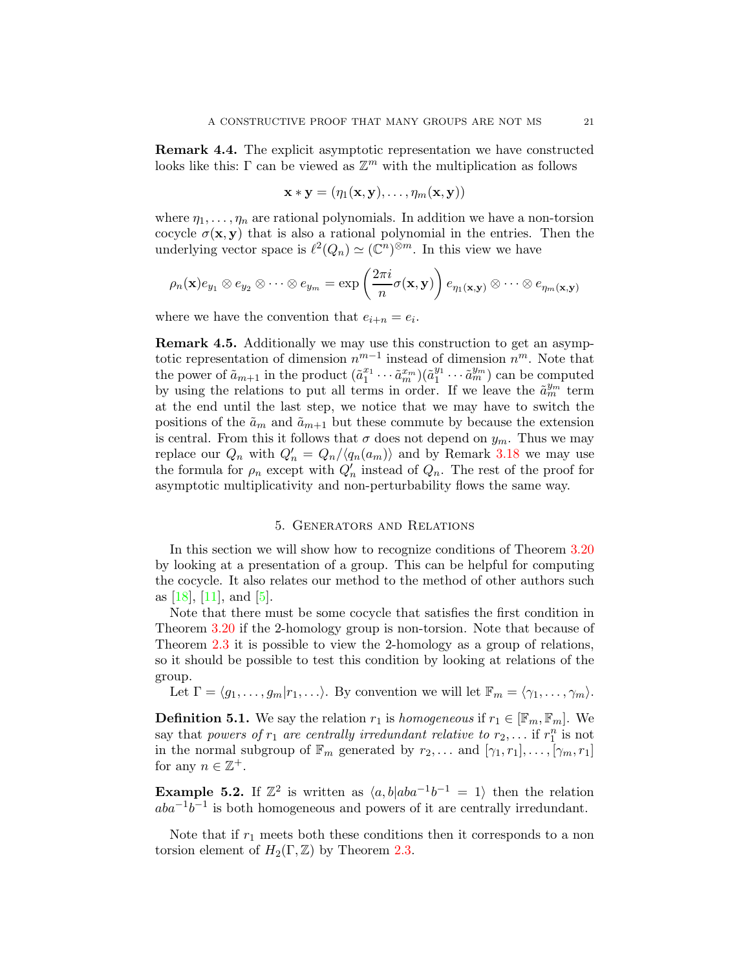<span id="page-20-4"></span><span id="page-20-1"></span>Remark 4.4. The explicit asymptotic representation we have constructed looks like this:  $\Gamma$  can be viewed as  $\mathbb{Z}^m$  with the multiplication as follows

$$
\mathbf{x} * \mathbf{y} = (\eta_1(\mathbf{x}, \mathbf{y}), \dots, \eta_m(\mathbf{x}, \mathbf{y}))
$$

where  $\eta_1, \ldots, \eta_n$  are rational polynomials. In addition we have a non-torsion cocycle  $\sigma(\mathbf{x}, \mathbf{y})$  that is also a rational polynomial in the entries. Then the underlying vector space is  $\ell^2(Q_n) \simeq (\mathbb{C}^n)^{\otimes m}$ . In this view we have

$$
\rho_n(\mathbf{x})e_{y_1}\otimes e_{y_2}\otimes \cdots \otimes e_{y_m}=\exp\left(\frac{2\pi i}{n}\sigma(\mathbf{x},\mathbf{y})\right)e_{\eta_1(\mathbf{x},\mathbf{y})}\otimes \cdots \otimes e_{\eta_m(\mathbf{x},\mathbf{y})}
$$

where we have the convention that  $e_{i+n} = e_i$ .

<span id="page-20-3"></span>Remark 4.5. Additionally we may use this construction to get an asymptotic representation of dimension  $n^{m-1}$  instead of dimension  $n^m$ . Note that the power of  $\tilde{a}_{m+1}$  in the product  $(\tilde{a}_1^{x_1} \cdots \tilde{a}_m^{x_m})(\tilde{a}_1^{y_1})$  $\binom{y_1}{1} \cdots \widetilde{a}_m^{y_m}$  can be computed by using the relations to put all terms in order. If we leave the  $\tilde{a}_m^{y_m}$  term at the end until the last step, we notice that we may have to switch the positions of the  $\tilde{a}_m$  and  $\tilde{a}_{m+1}$  but these commute by because the extension is central. From this it follows that  $\sigma$  does not depend on  $y_m$ . Thus we may replace our  $Q_n$  with  $Q'_n = Q_n/\langle q_n(a_m) \rangle$  and by Remark [3.18](#page-15-3) we may use the formula for  $\rho_n$  except with  $Q'_n$  instead of  $Q_n$ . The rest of the proof for asymptotic multiplicativity and non-perturbability flows the same way.

### 5. Generators and Relations

<span id="page-20-0"></span>In this section we will show how to recognize conditions of Theorem [3.20](#page-16-0) by looking at a presentation of a group. This can be helpful for computing the cocycle. It also relates our method to the method of other authors such as  $[18]$ ,  $[11]$ , and  $[5]$ .

Note that there must be some cocycle that satisfies the first condition in Theorem [3.20](#page-16-0) if the 2-homology group is non-torsion. Note that because of Theorem [2.3](#page-4-1) it is possible to view the 2-homology as a group of relations, so it should be possible to test this condition by looking at relations of the group.

Let  $\Gamma = \langle g_1, \ldots, g_m|r_1, \ldots \rangle$ . By convention we will let  $\mathbb{F}_m = \langle \gamma_1, \ldots, \gamma_m \rangle$ .

**Definition 5.1.** We say the relation  $r_1$  is homogeneous if  $r_1 \in [\mathbb{F}_m, \mathbb{F}_m]$ . We say that powers of  $r_1$  are centrally irredundant relative to  $r_2, \ldots$  if  $r_1^n$  is not in the normal subgroup of  $\mathbb{F}_m$  generated by  $r_2, \ldots$  and  $[\gamma_1, r_1], \ldots, [\gamma_m, r_1]$ for any  $n \in \mathbb{Z}^+$ .

<span id="page-20-2"></span>**Example 5.2.** If  $\mathbb{Z}^2$  is written as  $\langle a, b | aba^{-1}b^{-1} = 1 \rangle$  then the relation  $aba^{-1}b^{-1}$  is both homogeneous and powers of it are centrally irredundant.

Note that if  $r_1$  meets both these conditions then it corresponds to a non torsion element of  $H_2(\Gamma,\mathbb{Z})$  by Theorem [2.3.](#page-4-1)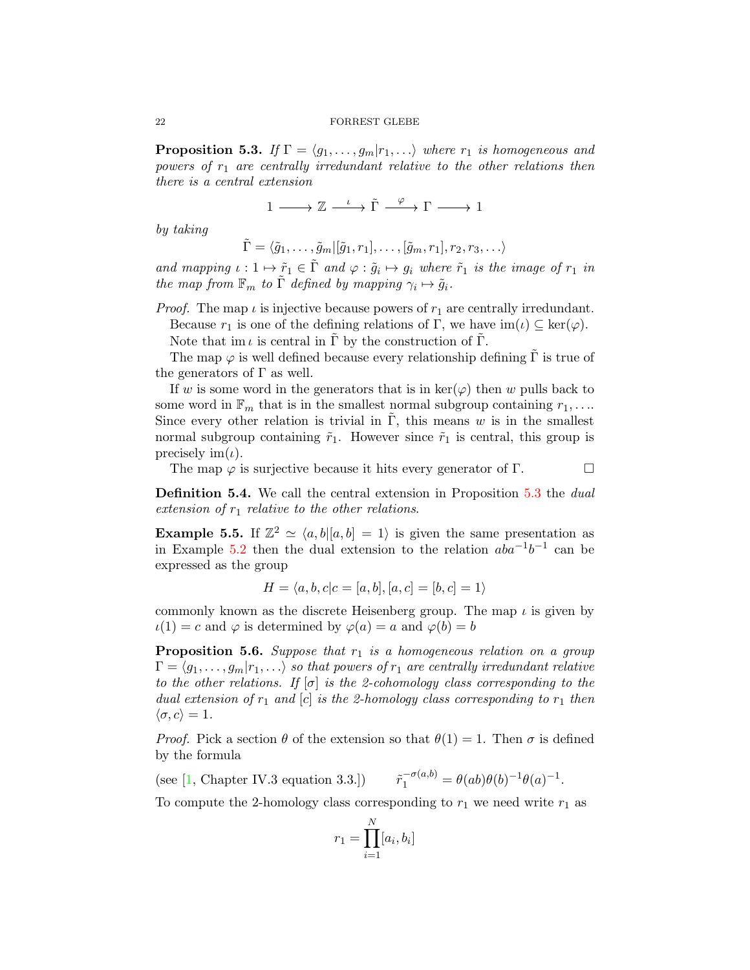<span id="page-21-2"></span><span id="page-21-0"></span>**Proposition 5.3.** If  $\Gamma = \langle g_1, \ldots, g_m | r_1, \ldots \rangle$  where  $r_1$  is homogeneous and powers of  $r_1$  are centrally irredundant relative to the other relations then there is a central extension

 $1 \longrightarrow \mathbb{Z} \xrightarrow{\iota} \tilde{\Gamma} \xrightarrow{\varphi} \Gamma \longrightarrow 1$ 

by taking

 $\tilde{\Gamma} = \langle \tilde{g}_1, \ldots, \tilde{g}_m | [\tilde{g}_1, r_1], \ldots, [\tilde{g}_m, r_1], r_2, r_3, \ldots \rangle$ 

and mapping  $\iota : 1 \mapsto \tilde{r}_1 \in \tilde{\Gamma}$  and  $\varphi : \tilde{g}_i \mapsto g_i$  where  $\tilde{r}_1$  is the image of  $r_1$  in the map from  $\mathbb{F}_m$  to  $\tilde{\Gamma}$  defined by mapping  $\gamma_i \mapsto \tilde{g}_i$ .

*Proof.* The map  $\iota$  is injective because powers of  $r_1$  are centrally irredundant.

Because  $r_1$  is one of the defining relations of Γ, we have  $\text{im}(\iota) \subseteq \text{ker}(\varphi)$ .

Note that im  $\iota$  is central in  $\Gamma$  by the construction of  $\Gamma$ .

The map  $\varphi$  is well defined because every relationship defining  $\Gamma$  is true of the generators of  $\Gamma$  as well.

If w is some word in the generators that is in  $\text{ker}(\varphi)$  then w pulls back to some word in  $\mathbb{F}_m$  that is in the smallest normal subgroup containing  $r_1, \ldots$ Since every other relation is trivial in  $\Gamma$ , this means w is in the smallest normal subgroup containing  $\tilde{r}_1$ . However since  $\tilde{r}_1$  is central, this group is precisely  $\text{im}(\iota)$ .

The map  $\varphi$  is surjective because it hits every generator of Γ.

**Definition 5.4.** We call the central extension in Proposition [5.3](#page-21-0) the *dual* extension of  $r_1$  relative to the other relations.

**Example 5.5.** If  $\mathbb{Z}^2 \simeq \langle a, b | [a, b] = 1 \rangle$  is given the same presentation as in Example [5.2](#page-20-2) then the dual extension to the relation  $aba^{-1}b^{-1}$  can be expressed as the group

$$
H = \langle a, b, c | c = [a, b], [a, c] = [b, c] = 1 \rangle
$$

commonly known as the discrete Heisenberg group. The map  $\iota$  is given by  $u(1) = c$  and  $\varphi$  is determined by  $\varphi(a) = a$  and  $\varphi(b) = b$ 

<span id="page-21-1"></span>**Proposition 5.6.** Suppose that  $r_1$  is a homogeneous relation on a group  $\Gamma = \langle g_1, \ldots, g_m | r_1, \ldots \rangle$  so that powers of  $r_1$  are centrally irredundant relative to the other relations. If  $[\sigma]$  is the 2-cohomology class corresponding to the dual extension of  $r_1$  and  $[c]$  is the 2-homology class corresponding to  $r_1$  then  $\langle \sigma, c \rangle = 1.$ 

*Proof.* Pick a section  $\theta$  of the extension so that  $\theta(1) = 1$ . Then  $\sigma$  is defined by the formula

(see [\[1,](#page-34-5) Chapter IV.3 equation 3.3.])  $\tilde{r}_1^{-\sigma(a,b)} = \theta(ab)\theta(b)^{-1}\theta(a)^{-1}.$ 

To compute the 2-homology class corresponding to  $r_1$  we need write  $r_1$  as

$$
r_1 = \prod_{i=1}^{N} [a_i, b_i]
$$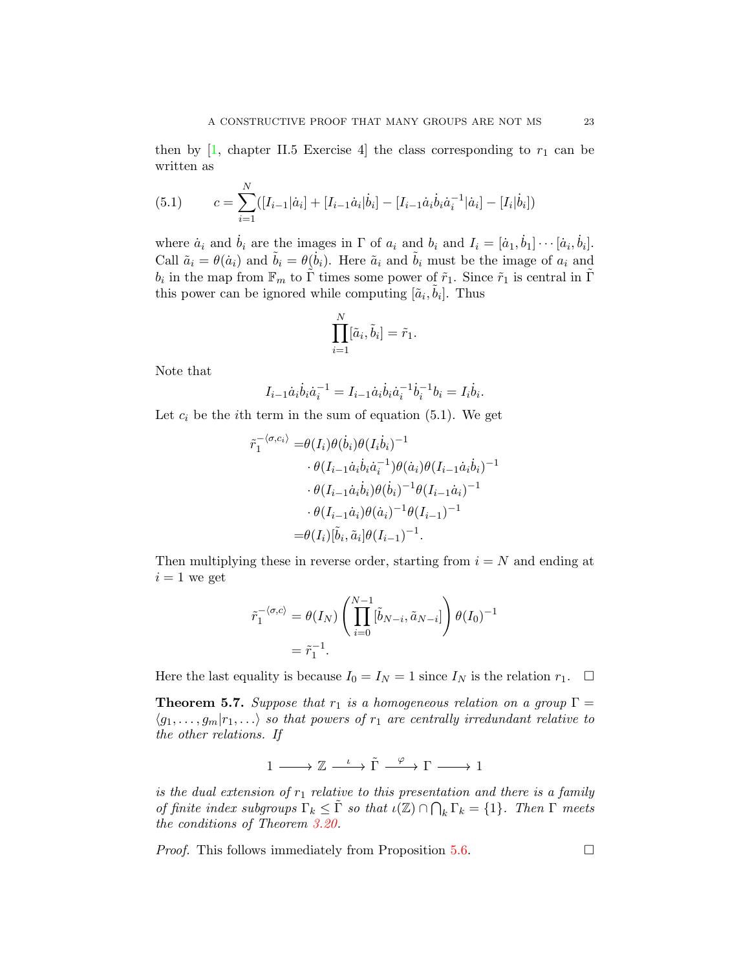<span id="page-22-1"></span>then by  $[1,$  chapter II.5 Exercise 4 the class corresponding to  $r_1$  can be written as

(5.1) 
$$
c = \sum_{i=1}^{N} ([I_{i-1}|\dot{a}_i] + [I_{i-1}\dot{a}_i|\dot{b}_i] - [I_{i-1}\dot{a}_i\dot{b}_i\dot{a}_i^{-1}|\dot{a}_i] - [I_i|\dot{b}_i])
$$

where  $\dot{a}_i$  and  $\dot{b}_i$  are the images in  $\Gamma$  of  $a_i$  and  $b_i$  and  $I_i = [\dot{a}_1, \dot{b}_1] \cdots [\dot{a}_i, \dot{b}_i].$ Call  $\tilde{a}_i = \theta(\dot{a}_i)$  and  $\tilde{b}_i = \theta(\dot{b}_i)$ . Here  $\tilde{a}_i$  and  $\tilde{b}_i$  must be the image of  $a_i$  and  $b_i$  in the map from  $\mathbb{F}_m$  to  $\tilde{\Gamma}$  times some power of  $\tilde{r}_1$ . Since  $\tilde{r}_1$  is central in  $\tilde{\Gamma}$ this power can be ignored while computing  $[\tilde{a}_i, \tilde{b}_i]$ . Thus

$$
\prod_{i=1}^N[\tilde{a}_i,\tilde{b}_i]=\tilde{r}_1.
$$

Note that

$$
I_{i-1}\dot{a}_i\dot{b}_i\dot{a}_i^{-1} = I_{i-1}\dot{a}_i\dot{b}_i\dot{a}_i^{-1}\dot{b}_i^{-1}b_i = I_i\dot{b}_i.
$$

Let  $c_i$  be the *i*th term in the sum of equation (5.1). We get

$$
\tilde{r}_1^{-\langle \sigma, c_i \rangle} = \theta(I_i)\theta(\dot{b}_i)\theta(I_i\dot{b}_i)^{-1} \n\cdot \theta(I_{i-1}\dot{a}_i\dot{b}_i\dot{a}_i^{-1})\theta(\dot{a}_i)\theta(I_{i-1}\dot{a}_i\dot{b}_i)^{-1} \n\cdot \theta(I_{i-1}\dot{a}_i\dot{b}_i)\theta(\dot{b}_i)^{-1}\theta(I_{i-1}\dot{a}_i)^{-1} \n\cdot \theta(I_{i-1}\dot{a}_i)\theta(\dot{a}_i)^{-1}\theta(I_{i-1})^{-1} \n= \theta(I_i)[\tilde{b}_i, \tilde{a}_i]\theta(I_{i-1})^{-1}.
$$

Then multiplying these in reverse order, starting from  $i = N$  and ending at  $i = 1$  we get

$$
\tilde{r}_1^{-\langle \sigma, c \rangle} = \theta(I_N) \left( \prod_{i=0}^{N-1} [\tilde{b}_{N-i}, \tilde{a}_{N-i}] \right) \theta(I_0)^{-1}
$$

$$
= \tilde{r}_1^{-1}.
$$

Here the last equality is because  $I_0 = I_N = 1$  since  $I_N$  is the relation  $r_1$ .  $\Box$ 

<span id="page-22-0"></span>**Theorem 5.7.** Suppose that  $r_1$  is a homogeneous relation on a group  $\Gamma =$  $\langle g_1, \ldots, g_m | r_1, \ldots \rangle$  so that powers of  $r_1$  are centrally irredundant relative to the other relations. If

$$
1\longrightarrow \mathbb{Z}\stackrel{\iota}{\longrightarrow} \tilde{\Gamma}\stackrel{\varphi}{\longrightarrow} \Gamma\longrightarrow 1
$$

is the dual extension of  $r_1$  relative to this presentation and there is a family of finite index subgroups  $\Gamma_k \leq \tilde{\Gamma}$  so that  $\iota(\mathbb{Z}) \cap \bigcap_k \Gamma_k = \{1\}$ . Then  $\Gamma$  meets the conditions of Theorem [3.20.](#page-16-0)

*Proof.* This follows immediately from Proposition [5.6.](#page-21-1)  $\Box$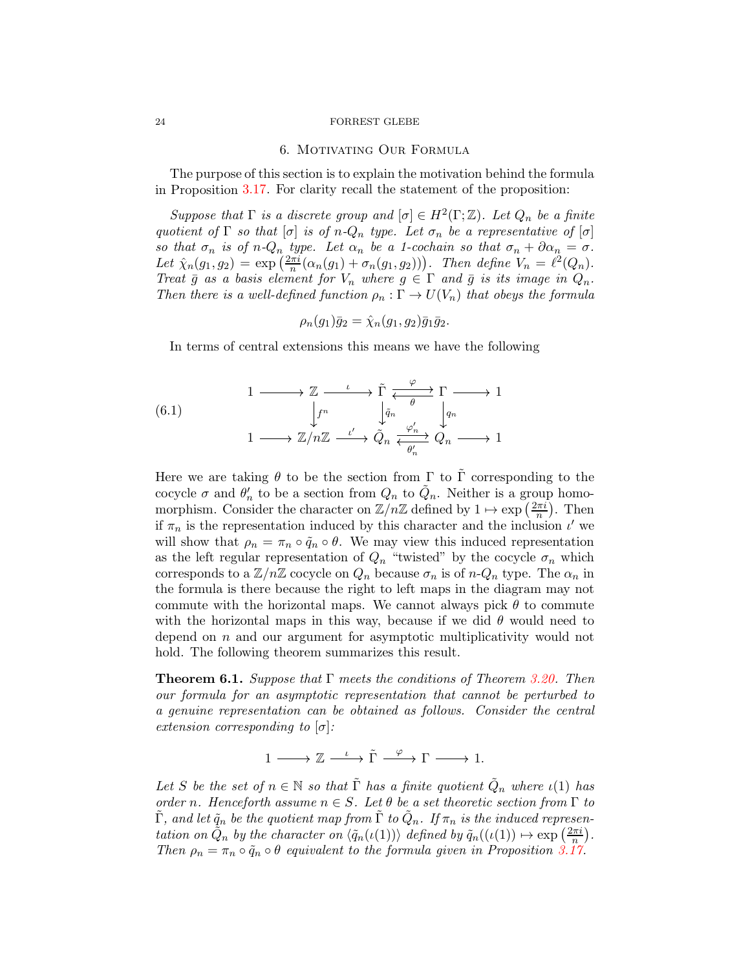#### <span id="page-23-0"></span>24 FORREST GLEBE

#### 6. Motivating Our Formula

The purpose of this section is to explain the motivation behind the formula in Proposition [3.17.](#page-15-1) For clarity recall the statement of the proposition:

Suppose that  $\Gamma$  is a discrete group and  $[\sigma] \in H^2(\Gamma;\mathbb{Z})$ . Let  $Q_n$  be a finite quotient of  $\Gamma$  so that  $[\sigma]$  is of  $n-Q_n$  type. Let  $\sigma_n$  be a representative of  $[\sigma]$ so that  $\sigma_n$  is of n- $Q_n$  type. Let  $\alpha_n$  be a 1-cochain so that  $\sigma_n + \partial \alpha_n = \sigma$ . Let  $\hat{\chi}_n(g_1, g_2) = \exp\left(\frac{2\pi i}{n}(\alpha_n(g_1) + \sigma_n(g_1, g_2))\right)$ . Then define  $V_n = \ell^2(Q_n)$ . Treat  $\bar{g}$  as a basis element for  $V_n$  where  $g \in \Gamma$  and  $\bar{g}$  is its image in  $Q_n$ . Then there is a well-defined function  $\rho_n : \Gamma \to U(V_n)$  that obeys the formula

$$
\rho_n(g_1)\overline{g}_2=\hat{\chi}_n(g_1,g_2)\overline{g}_1\overline{g}_2.
$$

In terms of central extensions this means we have the following

(6.1) 
$$
\begin{array}{ccc}\n1 & \longrightarrow & \mathbb{Z} & \xrightarrow{\iota} & \widetilde{\Gamma} & \xrightarrow{\varphi} & \Gamma \longrightarrow 1 \\
\downarrow f^n & & \downarrow \widetilde{q}_n & & \downarrow q_n \\
1 & \longrightarrow & \mathbb{Z}/n\mathbb{Z} & \xrightarrow{\iota'} & \widetilde{Q}_n & \xrightarrow{\varphi'_n} & Q_n \longrightarrow 1\n\end{array}
$$

Here we are taking  $\theta$  to be the section from  $\Gamma$  to  $\Gamma$  corresponding to the cocycle  $\sigma$  and  $\theta'_n$  to be a section from  $Q_n$  to  $\tilde{Q}_n$ . Neither is a group homomorphism. Consider the character on  $\mathbb{Z}/n\mathbb{Z}$  defined by  $1 \mapsto \exp\left(\frac{2\pi i}{n}\right)$ . Then if  $\pi_n$  is the representation induced by this character and the inclusion  $\iota'$  we will show that  $\rho_n = \pi_n \circ \tilde{q}_n \circ \theta$ . We may view this induced representation as the left regular representation of  $Q_n$  "twisted" by the cocycle  $\sigma_n$  which corresponds to a  $\mathbb{Z}/n\mathbb{Z}$  cocycle on  $Q_n$  because  $\sigma_n$  is of  $n-Q_n$  type. The  $\alpha_n$  in the formula is there because the right to left maps in the diagram may not commute with the horizontal maps. We cannot always pick  $\theta$  to commute with the horizontal maps in this way, because if we did  $\theta$  would need to depend on  $n$  and our argument for asymptotic multiplicativity would not hold. The following theorem summarizes this result.

<span id="page-23-1"></span>**Theorem 6.1.** Suppose that  $\Gamma$  meets the conditions of Theorem [3.20.](#page-16-0) Then our formula for an asymptotic representation that cannot be perturbed to a genuine representation can be obtained as follows. Consider the central extension corresponding to  $\sigma$ :

$$
1\longrightarrow \mathbb{Z}\stackrel{\iota}{\longrightarrow} \tilde{\Gamma}\stackrel{\varphi}{\longrightarrow} \Gamma\longrightarrow 1.
$$

Let S be the set of  $n \in \mathbb{N}$  so that  $\tilde{\Gamma}$  has a finite quotient  $\tilde{Q}_n$  where  $\iota(1)$  has order n. Henceforth assume  $n \in S$ . Let  $\theta$  be a set theoretic section from  $\Gamma$  to  $\tilde{\Gamma},$  and let  $\tilde{q}_n$  be the quotient map from  $\tilde{\Gamma}$  to  $\tilde{Q}_n$ . If  $\pi_n$  is the induced representation on  $\tilde{Q}_n$  by the character on  $\langle \tilde{q}_n(\iota(1)) \rangle$  defined by  $\tilde{q}_n((\iota(1)) \mapsto \exp\left(\frac{2\pi i}{n}\right)$ . Then  $\rho_n = \pi_n \circ \tilde{q}_n \circ \theta$  equivalent to the formula given in Proposition [3.17.](#page-15-1)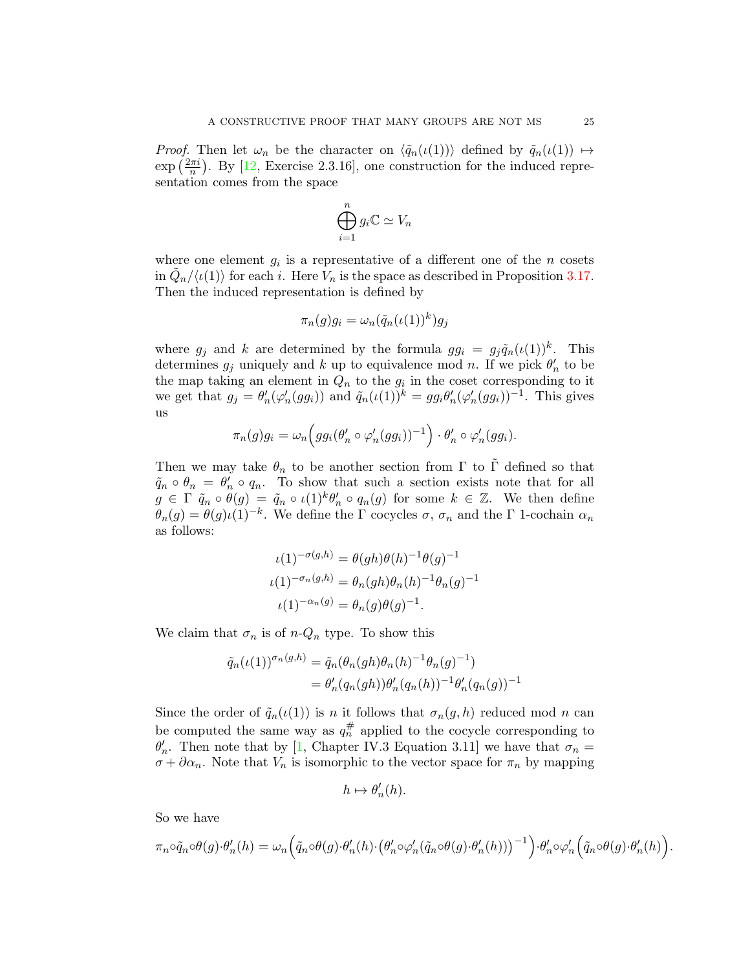<span id="page-24-0"></span>*Proof.* Then let  $\omega_n$  be the character on  $\langle \tilde{q}_n(\iota(1)) \rangle$  defined by  $\tilde{q}_n(\iota(1)) \mapsto$  $\exp\left(\frac{2\pi i}{n}\right)$ . By [\[12,](#page-34-18) Exercise 2.3.16], one construction for the induced representation comes from the space

$$
\bigoplus_{i=1}^n g_i \mathbb{C} \simeq V_n
$$

where one element  $g_i$  is a representative of a different one of the n cosets in  $\tilde{Q}_n/\langle \iota(1) \rangle$  for each i. Here  $\tilde{V}_n$  is the space as described in Proposition [3.17.](#page-15-1) Then the induced representation is defined by

$$
\pi_n(g)g_i = \omega_n(\tilde{q}_n(\iota(1))^k)g_j
$$

where  $g_j$  and k are determined by the formula  $gg_i = g_j \tilde{q}_n(\iota(1))^k$ . This determines  $g_j$  uniquely and k up to equivalence mod n. If we pick  $\theta'_n$  to be the map taking an element in  $Q_n$  to the  $g_i$  in the coset corresponding to it we get that  $g_j = \theta'_n(\varphi'_n(gg_i))$  and  $\tilde{q}_n(\iota(1))^k = gg_i\theta'_n(\varphi'_n(gg_i))^{-1}$ . This gives us

$$
\pi_n(g)g_i = \omega_n\Big(gg_i(\theta'_n \circ \varphi'_n(gg_i))^{-1}\Big) \cdot \theta'_n \circ \varphi'_n(gg_i).
$$

Then we may take  $\theta_n$  to be another section from  $\Gamma$  to  $\tilde{\Gamma}$  defined so that  $\tilde{q}_n \circ \theta_n = \theta'_n \circ q_n$ . To show that such a section exists note that for all  $g \in \Gamma \tilde{q}_n \circ \theta(g) = \tilde{q}_n \circ \iota(1)^k \theta'_n \circ q_n(g)$  for some  $k \in \mathbb{Z}$ . We then define  $\theta_n(g) = \theta(g)\iota(1)^{-k}$ . We define the  $\Gamma$  cocycles  $\sigma$ ,  $\sigma_n$  and the  $\Gamma$  1-cochain  $\alpha_n$ as follows:

$$
\iota(1)^{-\sigma(g,h)} = \theta(gh)\theta(h)^{-1}\theta(g)^{-1}
$$

$$
\iota(1)^{-\sigma_n(g,h)} = \theta_n(gh)\theta_n(h)^{-1}\theta_n(g)^{-1}
$$

$$
\iota(1)^{-\alpha_n(g)} = \theta_n(g)\theta(g)^{-1}.
$$

We claim that  $\sigma_n$  is of  $n-Q_n$  type. To show this

$$
\tilde{q}_n(\iota(1))^{\sigma_n(g,h)} = \tilde{q}_n(\theta_n(gh)\theta_n(h)^{-1}\theta_n(g)^{-1}) \n= \theta'_n(q_n(gh))\theta'_n(q_n(h))^{-1}\theta'_n(q_n(g))^{-1}
$$

Since the order of  $\tilde{q}_n(\iota(1))$  is n it follows that  $\sigma_n(g, h)$  reduced mod n can be computed the same way as  $q_n^{\#}$  applied to the cocycle corresponding to  $\theta'_n$ . Then note that by [\[1,](#page-34-5) Chapter IV.3 Equation 3.11] we have that  $\sigma_n =$  $\sigma + \partial \alpha_n$ . Note that  $V_n$  is isomorphic to the vector space for  $\pi_n$  by mapping

$$
h \mapsto \theta_n'(h).
$$

So we have

$$
\pi_n \circ \tilde{q}_n \circ \theta(g) \cdot \theta'_n(h) = \omega_n \Big( \tilde{q}_n \circ \theta(g) \cdot \theta'_n(h) \cdot \big( \theta'_n \circ \varphi'_n(\tilde{q}_n \circ \theta(g) \cdot \theta'_n(h)) \big)^{-1} \Big) \cdot \theta'_n \circ \varphi'_n \Big( \tilde{q}_n \circ \theta(g) \cdot \theta'_n(h) \Big)
$$

.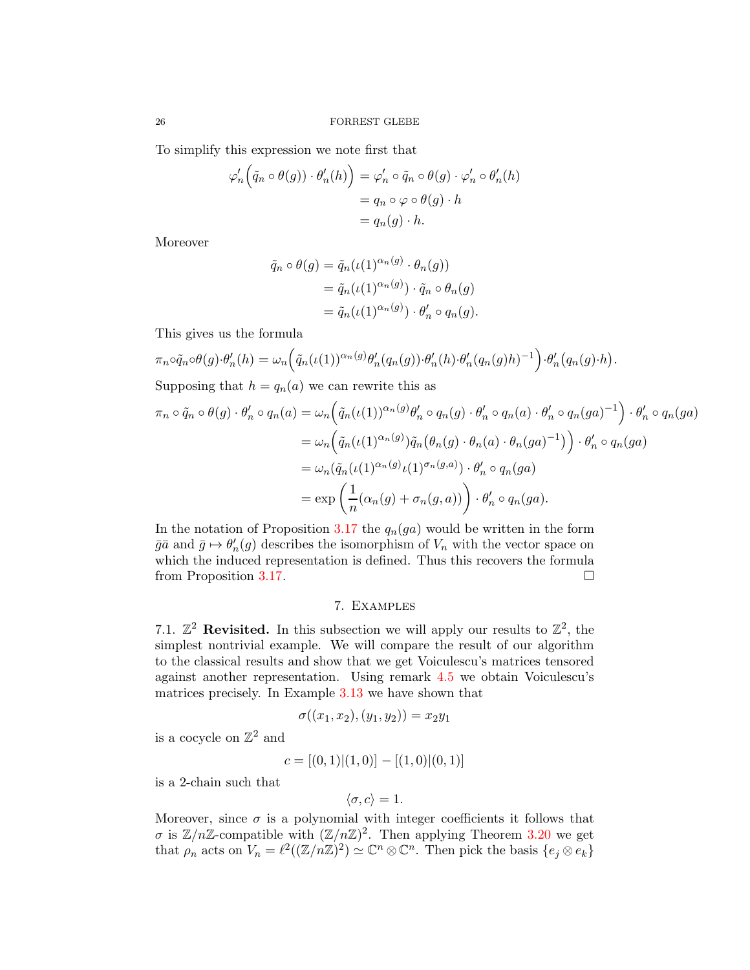To simplify this expression we note first that

$$
\varphi'_n \Big( \tilde{q}_n \circ \theta(g) \Big) \cdot \theta'_n(h) \Big) = \varphi'_n \circ \tilde{q}_n \circ \theta(g) \cdot \varphi'_n \circ \theta'_n(h)
$$
  
=  $q_n \circ \varphi \circ \theta(g) \cdot h$   
=  $q_n(g) \cdot h$ .

Moreover

$$
\tilde{q}_n \circ \theta(g) = \tilde{q}_n(\iota(1)^{\alpha_n(g)} \cdot \theta_n(g))
$$
  
= 
$$
\tilde{q}_n(\iota(1)^{\alpha_n(g)}) \cdot \tilde{q}_n \circ \theta_n(g)
$$
  
= 
$$
\tilde{q}_n(\iota(1)^{\alpha_n(g)}) \cdot \theta'_n \circ q_n(g).
$$

This gives us the formula

$$
\pi_n \circ \tilde{q}_n \circ \theta(g) \cdot \theta'_n(h) = \omega_n \Big( \tilde{q}_n(\iota(1))^{\alpha_n(g)} \theta'_n(q_n(g)) \cdot \theta'_n(h) \cdot \theta'_n(q_n(g)h)^{-1} \Big) \cdot \theta'_n\big(q_n(g) \cdot h\big)
$$

Supposing that  $h = q_n(a)$  we can rewrite this as

$$
\pi_n \circ \tilde{q}_n \circ \theta(g) \cdot \theta'_n \circ q_n(a) = \omega_n \Big( \tilde{q}_n(\iota(1))^{\alpha_n(g)} \theta'_n \circ q_n(g) \cdot \theta'_n \circ q_n(a) \cdot \theta'_n \circ q_n(ga)^{-1} \Big) \cdot \theta'_n \circ q_n(ga)
$$
  

$$
= \omega_n \Big( \tilde{q}_n(\iota(1)^{\alpha_n(g)}) \tilde{q}_n \big( \theta_n(g) \cdot \theta_n(a) \cdot \theta_n(ga)^{-1} \big) \Big) \cdot \theta'_n \circ q_n(ga)
$$
  

$$
= \omega_n \big( \tilde{q}_n(\iota(1)^{\alpha_n(g)} \iota(1)^{\sigma_n(g,a)}) \cdot \theta'_n \circ q_n(ga)
$$
  

$$
= \exp \left( \frac{1}{n} (\alpha_n(g) + \sigma_n(g,a)) \right) \cdot \theta'_n \circ q_n(ga).
$$

.

In the notation of Proposition [3.17](#page-15-1) the  $q_n(ga)$  would be written in the form  $\bar{g}\bar{a}$  and  $\bar{g} \mapsto \theta'_n(g)$  describes the isomorphism of  $V_n$  with the vector space on which the induced representation is defined. Thus this recovers the formula from Proposition [3.17.](#page-15-1)

## 7. Examples

<span id="page-25-1"></span><span id="page-25-0"></span>7.1.  $\mathbb{Z}^2$  Revisited. In this subsection we will apply our results to  $\mathbb{Z}^2$ , the simplest nontrivial example. We will compare the result of our algorithm to the classical results and show that we get Voiculescu's matrices tensored against another representation. Using remark [4.5](#page-20-3) we obtain Voiculescu's matrices precisely. In Example [3.13](#page-13-2) we have shown that

$$
\sigma((x_1,x_2),(y_1,y_2))=x_2y_1
$$

is a cocycle on  $\mathbb{Z}^2$  and

$$
c = [(0,1)| (1,0)] - [(1,0)| (0,1)]
$$

is a 2-chain such that

$$
\langle \sigma, c \rangle = 1.
$$

Moreover, since  $\sigma$  is a polynomial with integer coefficients it follows that  $\sigma$  is  $\mathbb{Z}/n\mathbb{Z}$ -compatible with  $(\mathbb{Z}/n\mathbb{Z})^2$ . Then applying Theorem [3.20](#page-16-0) we get that  $\rho_n$  acts on  $V_n = \ell^2((\mathbb{Z}/n\mathbb{Z})^2) \simeq \mathbb{C}^n \otimes \mathbb{C}^n$ . Then pick the basis  $\{e_j \otimes e_k\}$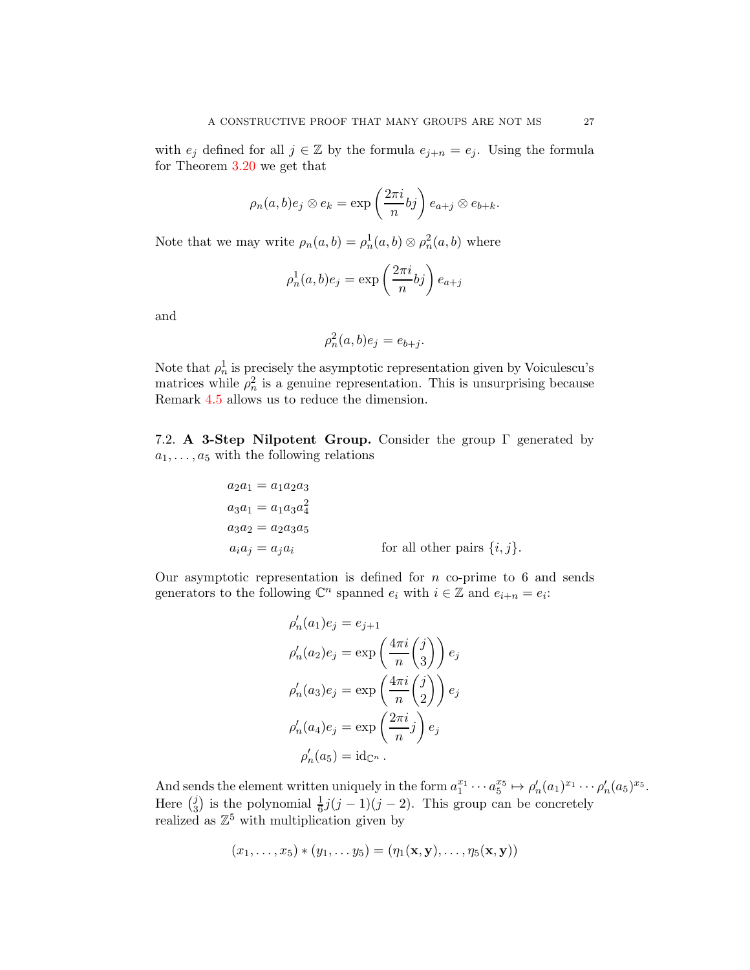with  $e_j$  defined for all  $j \in \mathbb{Z}$  by the formula  $e_{j+n} = e_j$ . Using the formula for Theorem [3.20](#page-16-0) we get that

$$
\rho_n(a, b)e_j \otimes e_k = \exp\left(\frac{2\pi i}{n}bj\right)e_{a+j} \otimes e_{b+k}.
$$

Note that we may write  $\rho_n(a, b) = \rho_n^1(a, b) \otimes \rho_n^2(a, b)$  where

$$
\rho_n^1(a,b)e_j = \exp\left(\frac{2\pi i}{n}bj\right)e_{a+j}
$$

and

$$
\rho_n^2(a,b)e_j = e_{b+j}.
$$

Note that  $\rho_n^1$  is precisely the asymptotic representation given by Voiculescu's matrices while  $\rho_n^2$  is a genuine representation. This is unsurprising because Remark [4.5](#page-20-3) allows us to reduce the dimension.

<span id="page-26-0"></span>7.2. A 3-Step Nilpotent Group. Consider the group Γ generated by  $a_1, \ldots, a_5$  with the following relations

$$
a_2a_1 = a_1a_2a_3
$$
  
\n
$$
a_3a_1 = a_1a_3a_4^2
$$
  
\n
$$
a_3a_2 = a_2a_3a_5
$$
  
\n
$$
a_ia_j = a_ja_i
$$
 for all other pairs  $\{i, j\}.$ 

Our asymptotic representation is defined for  $n$  co-prime to 6 and sends generators to the following  $\mathbb{C}^n$  spanned  $e_i$  with  $i \in \mathbb{Z}$  and  $e_{i+n} = e_i$ :

$$
\rho'_n(a_1)e_j = e_{j+1}
$$
  
\n
$$
\rho'_n(a_2)e_j = \exp\left(\frac{4\pi i}{n}\binom{j}{3}\right)e_j
$$
  
\n
$$
\rho'_n(a_3)e_j = \exp\left(\frac{4\pi i}{n}\binom{j}{2}\right)e_j
$$
  
\n
$$
\rho'_n(a_4)e_j = \exp\left(\frac{2\pi i}{n}j\right)e_j
$$
  
\n
$$
\rho'_n(a_5) = \mathrm{id}_{\mathbb{C}^n}.
$$

And sends the element written uniquely in the form  $a_1^{x_1} \cdots a_5^{x_5} \mapsto \rho'_n(a_1)^{x_1} \cdots \rho'_n(a_5)^{x_5}$ . Here  $\binom{j}{3}$  $\frac{j}{3}$ ) is the polynomial  $\frac{1}{6}j(j-1)(j-2)$ . This group can be concretely realized as  $\mathbb{Z}^5$  with multiplication given by

$$
(x_1,\ldots,x_5)*(y_1,\ldots,y_5)=(\eta_1(\mathbf{x},\mathbf{y}),\ldots,\eta_5(\mathbf{x},\mathbf{y}))
$$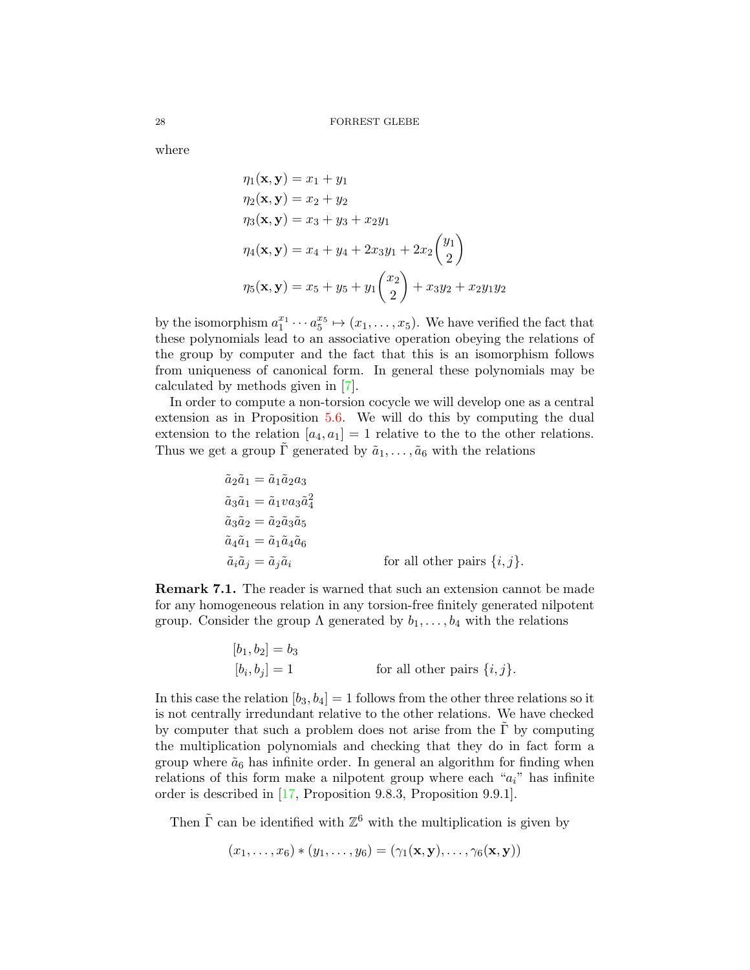where

$$
\eta_1(\mathbf{x}, \mathbf{y}) = x_1 + y_1
$$
  
\n
$$
\eta_2(\mathbf{x}, \mathbf{y}) = x_2 + y_2
$$
  
\n
$$
\eta_3(\mathbf{x}, \mathbf{y}) = x_3 + y_3 + x_2y_1
$$
  
\n
$$
\eta_4(\mathbf{x}, \mathbf{y}) = x_4 + y_4 + 2x_3y_1 + 2x_2\begin{pmatrix} y_1 \\ 2 \end{pmatrix}
$$
  
\n
$$
\eta_5(\mathbf{x}, \mathbf{y}) = x_5 + y_5 + y_1\begin{pmatrix} x_2 \\ 2 \end{pmatrix} + x_3y_2 + x_2y_1y_2
$$

by the isomorphism  $a_1^{x_1} \cdots a_5^{x_5} \mapsto (x_1, \ldots, x_5)$ . We have verified the fact that these polynomials lead to an associative operation obeying the relations of the group by computer and the fact that this is an isomorphism follows from uniqueness of canonical form. In general these polynomials may be calculated by methods given in [\[7\]](#page-34-17).

In order to compute a non-torsion cocycle we will develop one as a central extension as in Proposition [5.6.](#page-21-1) We will do this by computing the dual extension to the relation  $[a_4, a_1] = 1$  relative to the to the other relations. Thus we get a group  $\overline{\Gamma}$  generated by  $\tilde{a}_1, \ldots, \tilde{a}_6$  with the relations

$$
\begin{aligned}\n\tilde{a}_2 \tilde{a}_1 &= \tilde{a}_1 \tilde{a}_2 a_3 \\
\tilde{a}_3 \tilde{a}_1 &= \tilde{a}_1 v a_3 \tilde{a}_4^2 \\
\tilde{a}_3 \tilde{a}_2 &= \tilde{a}_2 \tilde{a}_3 \tilde{a}_5 \\
\tilde{a}_4 \tilde{a}_1 &= \tilde{a}_1 \tilde{a}_4 \tilde{a}_6 \\
\tilde{a}_i \tilde{a}_j &= \tilde{a}_j \tilde{a}_i\n\end{aligned}\n\qquad \qquad \text{for all other pairs } \{i, j\}.
$$

<span id="page-27-0"></span>Remark 7.1. The reader is warned that such an extension cannot be made for any homogeneous relation in any torsion-free finitely generated nilpotent group. Consider the group  $\Lambda$  generated by  $b_1, \ldots, b_4$  with the relations

$$
[b_1, b_2] = b_3
$$
  

$$
[b_i, b_j] = 1
$$
 for all other pairs  $\{i, j\}.$ 

In this case the relation  $[b_3, b_4] = 1$  follows from the other three relations so it is not centrally irredundant relative to the other relations. We have checked by computer that such a problem does not arise from the  $\Gamma$  by computing the multiplication polynomials and checking that they do in fact form a group where  $\tilde{a}_6$  has infinite order. In general an algorithm for finding when relations of this form make a nilpotent group where each " $a_i$ " has infinite order is described in [\[17,](#page-34-6) Proposition 9.8.3, Proposition 9.9.1].

Then  $\tilde{\Gamma}$  can be identified with  $\mathbb{Z}^6$  with the multiplication is given by

$$
(x_1,\ldots,x_6)*(y_1,\ldots,y_6)=(\gamma_1(\mathbf{x},\mathbf{y}),\ldots,\gamma_6(\mathbf{x},\mathbf{y}))
$$

<span id="page-27-1"></span>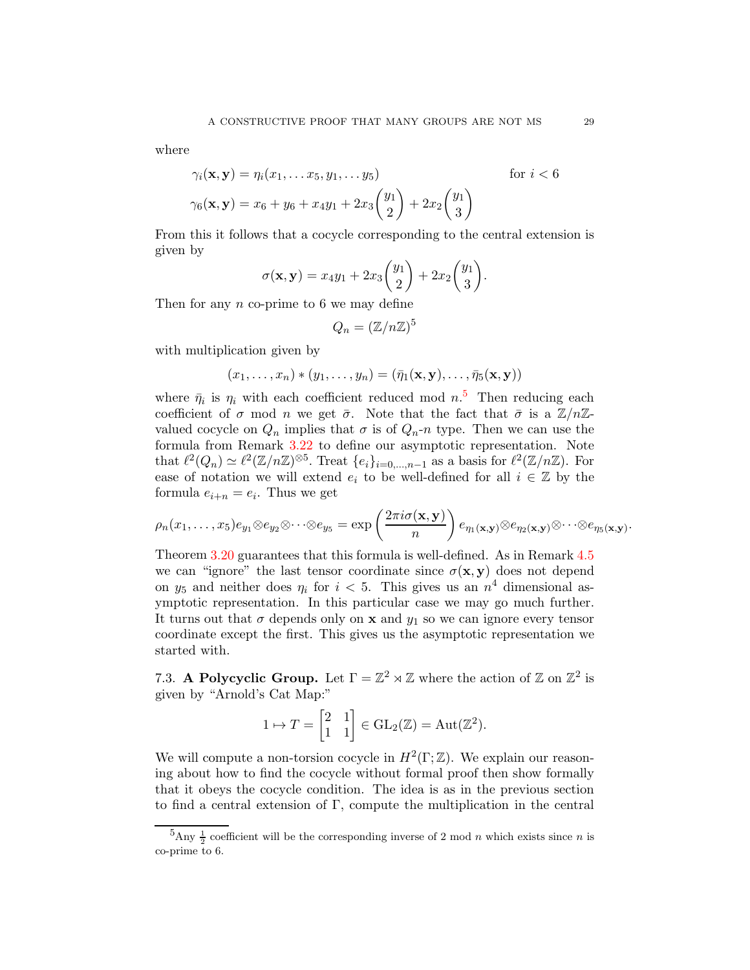where

$$
\gamma_i(\mathbf{x}, \mathbf{y}) = \eta_i(x_1, \dots x_5, y_1, \dots y_5) \quad \text{for } i < 6
$$
  

$$
\gamma_6(\mathbf{x}, \mathbf{y}) = x_6 + y_6 + x_4 y_1 + 2x_3 \binom{y_1}{2} + 2x_2 \binom{y_1}{3}
$$

From this it follows that a cocycle corresponding to the central extension is given by

$$
\sigma(\mathbf{x}, \mathbf{y}) = x_4y_1 + 2x_3 \begin{pmatrix} y_1 \\ 2 \end{pmatrix} + 2x_2 \begin{pmatrix} y_1 \\ 3 \end{pmatrix}.
$$

Then for any  $n$  co-prime to 6 we may define

$$
Q_n = (\mathbb{Z}/n\mathbb{Z})^5
$$

with multiplication given by

$$
(x_1,\ldots,x_n)*(y_1,\ldots,y_n)=(\bar{\eta}_1(\mathbf{x},\mathbf{y}),\ldots,\bar{\eta}_5(\mathbf{x},\mathbf{y}))
$$

where  $\bar{\eta}_i$  is  $\eta_i$  with each coefficient reduced mod  $n<sup>5</sup>$  $n<sup>5</sup>$  $n<sup>5</sup>$ . Then reducing each coefficient of  $\sigma$  mod n we get  $\bar{\sigma}$ . Note that the fact that  $\bar{\sigma}$  is a  $\mathbb{Z}/n\mathbb{Z}$ valued cocycle on  $Q_n$  implies that  $\sigma$  is of  $Q_n$ -n type. Then we can use the formula from Remark [3.22](#page-17-2) to define our asymptotic representation. Note that  $\ell^2(Q_n) \simeq \ell^2(\mathbb{Z}/n\mathbb{Z})^{\otimes 5}$ . Treat  $\{e_i\}_{i=0,\dots,n-1}$  as a basis for  $\ell^2(\mathbb{Z}/n\mathbb{Z})$ . For ease of notation we will extend  $e_i$  to be well-defined for all  $i \in \mathbb{Z}$  by the formula  $e_{i+n} = e_i$ . Thus we get

$$
\rho_n(x_1,\ldots,x_5)e_{y_1}\otimes e_{y_2}\otimes\cdots\otimes e_{y_5}=\exp\left(\frac{2\pi i\sigma(\mathbf{x},\mathbf{y})}{n}\right)e_{\eta_1(\mathbf{x},\mathbf{y})}\otimes e_{\eta_2(\mathbf{x},\mathbf{y})}\otimes\cdots\otimes e_{\eta_5(\mathbf{x},\mathbf{y})}.
$$

Theorem [3.20](#page-16-0) guarantees that this formula is well-defined. As in Remark [4.5](#page-20-3) we can "ignore" the last tensor coordinate since  $\sigma(\mathbf{x}, \mathbf{y})$  does not depend on  $y_5$  and neither does  $\eta_i$  for  $i < 5$ . This gives us an  $n^4$  dimensional asymptotic representation. In this particular case we may go much further. It turns out that  $\sigma$  depends only on **x** and  $y_1$  so we can ignore every tensor coordinate except the first. This gives us the asymptotic representation we started with.

<span id="page-28-0"></span>7.3. A Polycyclic Group. Let  $\Gamma = \mathbb{Z}^2 \rtimes \mathbb{Z}$  where the action of  $\mathbb{Z}$  on  $\mathbb{Z}^2$  is given by "Arnold's Cat Map:"

$$
1 \mapsto T = \begin{bmatrix} 2 & 1 \\ 1 & 1 \end{bmatrix} \in \text{GL}_2(\mathbb{Z}) = \text{Aut}(\mathbb{Z}^2).
$$

We will compute a non-torsion cocycle in  $H^2(\Gamma;\mathbb{Z})$ . We explain our reasoning about how to find the cocycle without formal proof then show formally that it obeys the cocycle condition. The idea is as in the previous section to find a central extension of  $\Gamma$ , compute the multiplication in the central

<span id="page-28-1"></span> ${}^{5}$ Any  $\frac{1}{2}$  coefficient will be the corresponding inverse of 2 mod *n* which exists since *n* is co-prime to 6.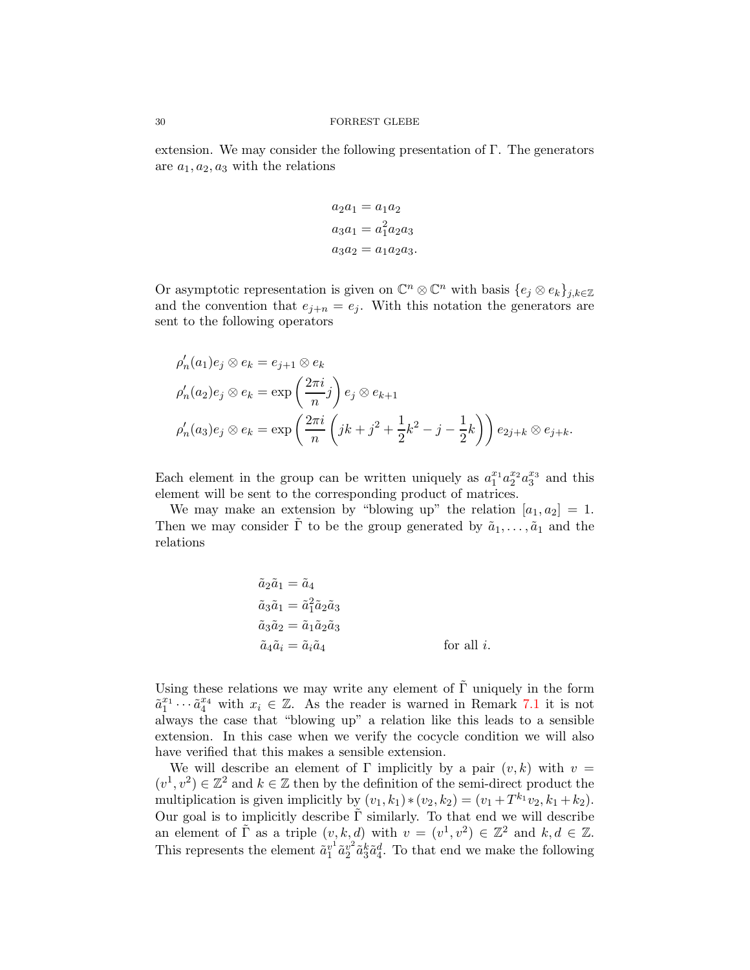extension. We may consider the following presentation of  $\Gamma$ . The generators are  $a_1, a_2, a_3$  with the relations

$$
a_2 a_1 = a_1 a_2
$$
  

$$
a_3 a_1 = a_1^2 a_2 a_3
$$
  

$$
a_3 a_2 = a_1 a_2 a_3.
$$

Or asymptotic representation is given on  $\mathbb{C}^n \otimes \mathbb{C}^n$  with basis  $\{e_j \otimes e_k\}_{j,k \in \mathbb{Z}}$ and the convention that  $e_{j+n} = e_j$ . With this notation the generators are sent to the following operators

$$
\rho'_n(a_1)e_j \otimes e_k = e_{j+1} \otimes e_k
$$
  
\n
$$
\rho'_n(a_2)e_j \otimes e_k = \exp\left(\frac{2\pi i}{n}j\right)e_j \otimes e_{k+1}
$$
  
\n
$$
\rho'_n(a_3)e_j \otimes e_k = \exp\left(\frac{2\pi i}{n}\left(jk+j^2+\frac{1}{2}k^2-j-\frac{1}{2}k\right)\right)e_{2j+k} \otimes e_{j+k}.
$$

Each element in the group can be written uniquely as  $a_1^{x_1} a_2^{x_2} a_3^{x_3}$  and this element will be sent to the corresponding product of matrices.

We may make an extension by "blowing up" the relation  $[a_1, a_2] = 1$ . Then we may consider  $\tilde{\Gamma}$  to be the group generated by  $\tilde{a}_1, \ldots, \tilde{a}_1$  and the relations

$$
\tilde{a}_2 \tilde{a}_1 = \tilde{a}_4
$$
  
\n
$$
\tilde{a}_3 \tilde{a}_1 = \tilde{a}_1^2 \tilde{a}_2 \tilde{a}_3
$$
  
\n
$$
\tilde{a}_3 \tilde{a}_2 = \tilde{a}_1 \tilde{a}_2 \tilde{a}_3
$$
  
\n
$$
\tilde{a}_4 \tilde{a}_i = \tilde{a}_i \tilde{a}_4
$$
 for all *i*.

Using these relations we may write any element of  $\tilde{\Gamma}$  uniquely in the form  $\tilde{a}_1^{x_1} \cdots \tilde{a}_4^{x_4}$  with  $x_i \in \mathbb{Z}$ . As the reader is warned in Remark [7.1](#page-27-0) it is not always the case that "blowing up" a relation like this leads to a sensible extension. In this case when we verify the cocycle condition we will also have verified that this makes a sensible extension.

We will describe an element of  $\Gamma$  implicitly by a pair  $(v, k)$  with  $v =$  $(v^1, v^2) \in \mathbb{Z}^2$  and  $k \in \mathbb{Z}$  then by the definition of the semi-direct product the multiplication is given implicitly by  $(v_1, k_1) * (v_2, k_2) = (v_1 + T^{k_1}v_2, k_1 + k_2)$ . Our goal is to implicitly describe  $\tilde{\Gamma}$  similarly. To that end we will describe an element of  $\tilde{\Gamma}$  as a triple  $(v, k, d)$  with  $v = (v^1, v^2) \in \mathbb{Z}^2$  and  $k, d \in \mathbb{Z}$ . This represents the element  $\tilde{a}_1^{v_1}$  $\frac{v^1}{1} \tilde{a} \frac{v^2}{2}$  $v^2 \tilde{a}_3^k \tilde{a}_4^d$ . To that end we make the following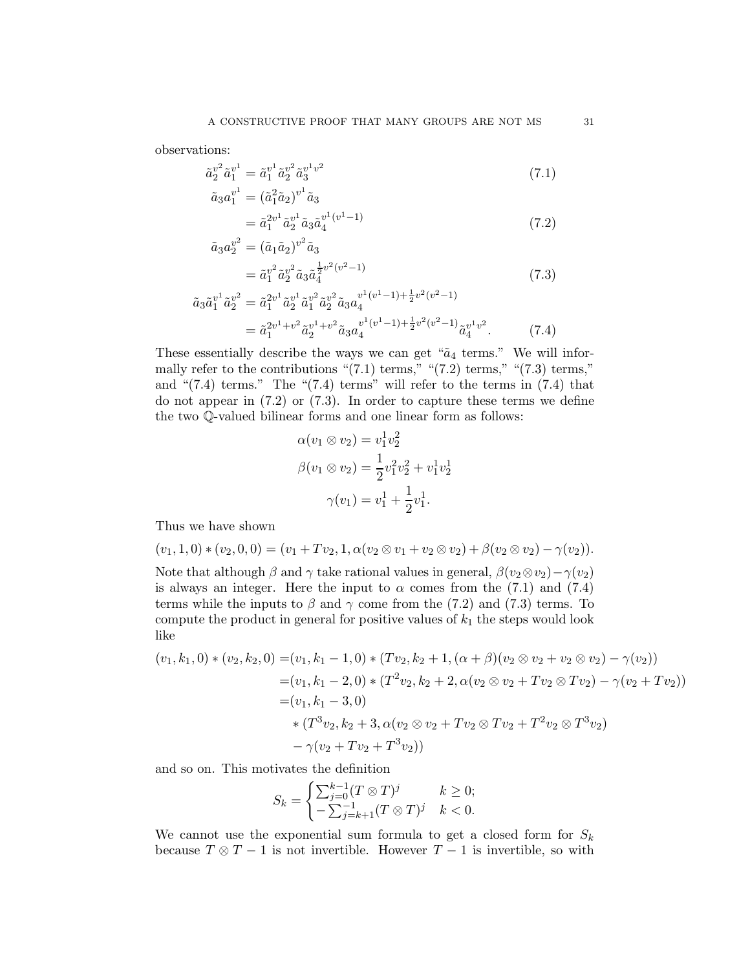observations:

$$
\tilde{a}_2^{v^2} \tilde{a}_1^{v^1} = \tilde{a}_1^{v^1} \tilde{a}_2^{v^2} \tilde{a}_3^{v^1 v^2}
$$
\n
$$
(7.1)
$$

$$
\tilde{a}_3 a_1^{v^1} = (\tilde{a}_1^2 \tilde{a}_2)^{v^1} \tilde{a}_3 \n= \tilde{a}_1^{2v^1} \tilde{a}_2^{v^1} \tilde{a}_3 \tilde{a}_4^{v^1(v^1 - 1)}
$$
\n(7.2)

$$
\tilde{a}_3 a_2^{v^2} = (\tilde{a}_1 \tilde{a}_2)^{v^2} \tilde{a}_3 \n= \tilde{a}_1^{v^2} \tilde{a}_2^{v^2} \tilde{a}_3 \tilde{a}_4^{\frac{1}{2} v^2 (v^2 - 1)}
$$
\n(7.3)

$$
\tilde{a}_3 \tilde{a}_1^{v^1} \tilde{a}_2^{v^2} = \tilde{a}_1^{2v^1} \tilde{a}_2^{v^1} \tilde{a}_1^{v^2} \tilde{a}_2^{v^2} \tilde{a}_3 a_4^{v^1(v^1-1) + \frac{1}{2}v^2(v^2-1)}
$$
\n
$$
= \tilde{a}_1^{2v^1 + v^2} \tilde{a}_2^{v^1 + v^2} \tilde{a}_3 a_4^{v^1(v^1-1) + \frac{1}{2}v^2(v^2-1)} \tilde{a}_4^{v^1 v^2}.
$$
\n(7.4)

These essentially describe the ways we can get " $\tilde{a}_4$  terms." We will informally refer to the contributions " $(7.1)$  terms," " $(7.2)$  terms," " $(7.3)$  terms," and " $(7.4)$  terms." The " $(7.4)$  terms" will refer to the terms in  $(7.4)$  that do not appear in (7.2) or (7.3). In order to capture these terms we define the two Q-valued bilinear forms and one linear form as follows:

$$
\alpha(v_1 \otimes v_2) = v_1^1 v_2^2
$$
  

$$
\beta(v_1 \otimes v_2) = \frac{1}{2} v_1^2 v_2^2 + v_1^1 v_2^1
$$
  

$$
\gamma(v_1) = v_1^1 + \frac{1}{2} v_1^1.
$$

Thus we have shown

$$
(v_1, 1, 0) * (v_2, 0, 0) = (v_1 + Tv_2, 1, \alpha(v_2 \otimes v_1 + v_2 \otimes v_2) + \beta(v_2 \otimes v_2) - \gamma(v_2)).
$$

Note that although  $\beta$  and  $\gamma$  take rational values in general,  $\beta(v_2 \otimes v_2) - \gamma(v_2)$ is always an integer. Here the input to  $\alpha$  comes from the (7.1) and (7.4) terms while the inputs to  $\beta$  and  $\gamma$  come from the (7.2) and (7.3) terms. To compute the product in general for positive values of  $k_1$  the steps would look like

$$
(v_1, k_1, 0) * (v_2, k_2, 0) = (v_1, k_1 - 1, 0) * (Tv_2, k_2 + 1, (\alpha + \beta)(v_2 \otimes v_2 + v_2 \otimes v_2) - \gamma(v_2))
$$
  

$$
= (v_1, k_1 - 2, 0) * (T^2 v_2, k_2 + 2, \alpha(v_2 \otimes v_2 + Tv_2 \otimes Tv_2) - \gamma(v_2 + Tv_2))
$$
  

$$
= (v_1, k_1 - 3, 0)
$$
  

$$
* (T^3 v_2, k_2 + 3, \alpha(v_2 \otimes v_2 + Tv_2 \otimes Tv_2 + T^2 v_2 \otimes T^3 v_2)
$$
  

$$
- \gamma(v_2 + Tv_2 + T^3 v_2))
$$

and so on. This motivates the definition

$$
S_k = \begin{cases} \sum_{j=0}^{k-1} (T \otimes T)^j & k \ge 0; \\ -\sum_{j=k+1}^{-1} (T \otimes T)^j & k < 0. \end{cases}
$$

We cannot use the exponential sum formula to get a closed form for  $S_k$ because  $T \otimes T - 1$  is not invertible. However  $T - 1$  is invertible, so with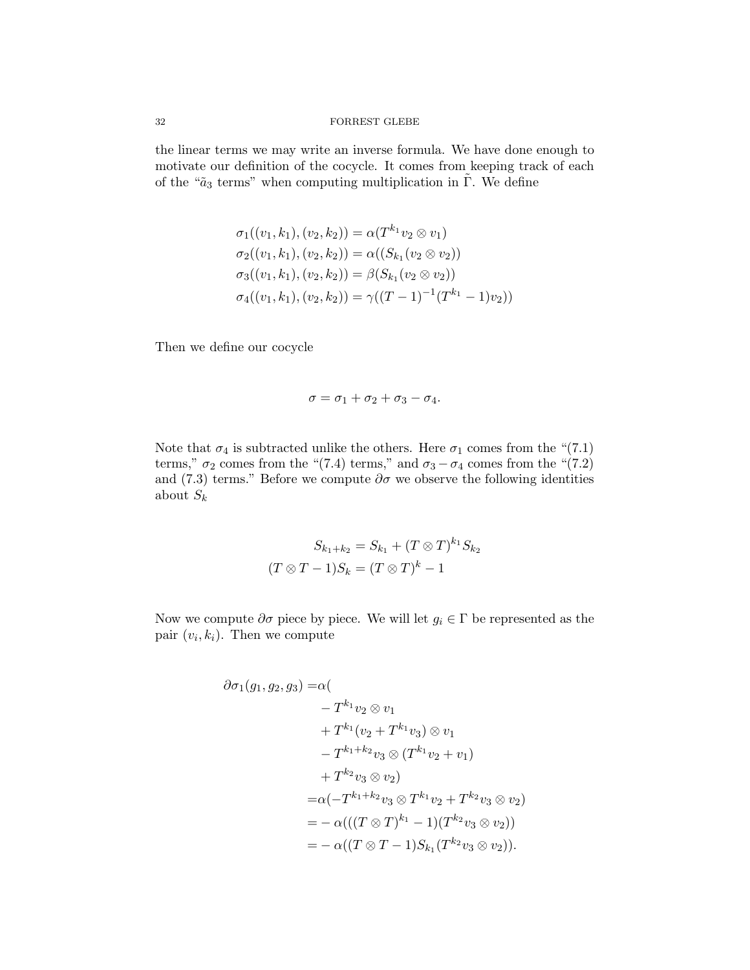### 32 FORREST GLEBE

the linear terms we may write an inverse formula. We have done enough to motivate our definition of the cocycle. It comes from keeping track of each of the " $\tilde{a}_3$  terms" when computing multiplication in  $\tilde{\Gamma}$ . We define

$$
\sigma_1((v_1, k_1), (v_2, k_2)) = \alpha(T^{k_1} v_2 \otimes v_1)
$$
  
\n
$$
\sigma_2((v_1, k_1), (v_2, k_2)) = \alpha((S_{k_1}(v_2 \otimes v_2))
$$
  
\n
$$
\sigma_3((v_1, k_1), (v_2, k_2)) = \beta(S_{k_1}(v_2 \otimes v_2))
$$
  
\n
$$
\sigma_4((v_1, k_1), (v_2, k_2)) = \gamma((T - 1)^{-1}(T^{k_1} - 1)v_2))
$$

Then we define our cocycle

$$
\sigma=\sigma_1+\sigma_2+\sigma_3-\sigma_4.
$$

Note that  $\sigma_4$  is subtracted unlike the others. Here  $\sigma_1$  comes from the "(7.1) terms,"  $\sigma_2$  comes from the "(7.4) terms," and  $\sigma_3 - \sigma_4$  comes from the "(7.2) and (7.3) terms." Before we compute  $\partial \sigma$  we observe the following identities about  $S_k$ 

$$
S_{k_1+k_2} = S_{k_1} + (T \otimes T)^{k_1} S_{k_2}
$$

$$
(T \otimes T - 1)S_k = (T \otimes T)^k - 1
$$

Now we compute  $\partial \sigma$  piece by piece. We will let  $g_i \in \Gamma$  be represented as the pair  $(v_i, k_i)$ . Then we compute

$$
\partial \sigma_1(g_1, g_2, g_3) = \alpha ( \n- T^{k_1} v_2 \otimes v_1 \n+ T^{k_1} (v_2 + T^{k_1} v_3) \otimes v_1 \n- T^{k_1 + k_2} v_3 \otimes (T^{k_1} v_2 + v_1) \n+ T^{k_2} v_3 \otimes v_2) \n= \alpha (-T^{k_1 + k_2} v_3 \otimes T^{k_1} v_2 + T^{k_2} v_3 \otimes v_2) \n= - \alpha (((T \otimes T)^{k_1} - 1)(T^{k_2} v_3 \otimes v_2)) \n= - \alpha ((T \otimes T - 1) S_{k_1} (T^{k_2} v_3 \otimes v_2)).
$$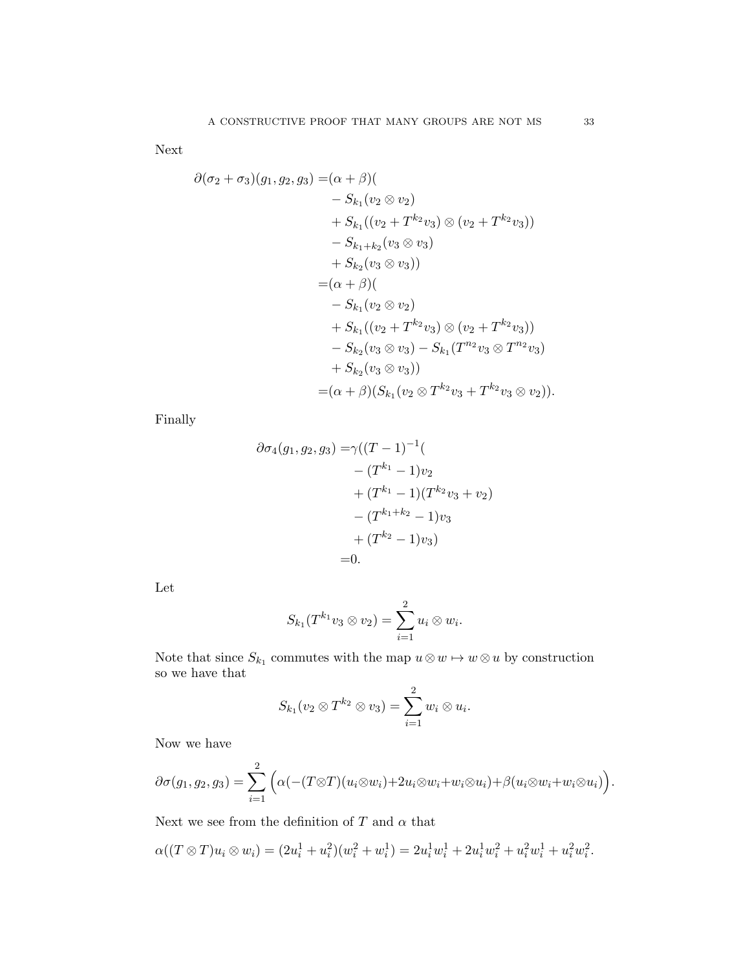Next

$$
\partial(\sigma_2 + \sigma_3)(g_1, g_2, g_3) = (\alpha + \beta)(
$$
  
\n
$$
- S_{k_1}(v_2 \otimes v_2)
$$
  
\n
$$
+ S_{k_1}((v_2 + T^{k_2}v_3) \otimes (v_2 + T^{k_2}v_3))
$$
  
\n
$$
- S_{k_1+k_2}(v_3 \otimes v_3)
$$
  
\n
$$
+ S_{k_2}(v_3 \otimes v_3))
$$
  
\n
$$
= (\alpha + \beta)(
$$
  
\n
$$
- S_{k_1}(v_2 \otimes v_2)
$$
  
\n
$$
+ S_{k_1}((v_2 + T^{k_2}v_3) \otimes (v_2 + T^{k_2}v_3))
$$
  
\n
$$
- S_{k_2}(v_3 \otimes v_3) - S_{k_1}(T^{n_2}v_3 \otimes T^{n_2}v_3)
$$
  
\n
$$
+ S_{k_2}(v_3 \otimes v_3))
$$
  
\n
$$
= (\alpha + \beta)(S_{k_1}(v_2 \otimes T^{k_2}v_3 + T^{k_2}v_3 \otimes v_2)).
$$

Finally

$$
\partial \sigma_4(g_1, g_2, g_3) = \gamma ((T - 1)^{-1} (
$$
  
\n
$$
- (T^{k_1} - 1) v_2
$$
  
\n
$$
+ (T^{k_1} - 1) (T^{k_2} v_3 + v_2)
$$
  
\n
$$
- (T^{k_1 + k_2} - 1) v_3
$$
  
\n
$$
+ (T^{k_2} - 1) v_3)
$$
  
\n=0.

Let

$$
S_{k_1}(T^{k_1}v_3 \otimes v_2) = \sum_{i=1}^2 u_i \otimes w_i.
$$

Note that since  $S_{k_1}$  commutes with the map  $u \otimes w \mapsto w \otimes u$  by construction so we have that

$$
S_{k_1}(v_2\otimes T^{k_2}\otimes v_3)=\sum_{i=1}^2w_i\otimes u_i.
$$

Now we have

$$
\partial \sigma(g_1, g_2, g_3) = \sum_{i=1}^2 \Big( \alpha(-(T \otimes T)(u_i \otimes w_i) + 2u_i \otimes w_i + w_i \otimes u_i) + \beta(u_i \otimes w_i + w_i \otimes u_i) \Big).
$$

Next we see from the definition of  $T$  and  $\alpha$  that

$$
\alpha((T \otimes T)u_i \otimes w_i) = (2u_i^1 + u_i^2)(w_i^2 + w_i^1) = 2u_i^1w_i^1 + 2u_i^1w_i^2 + u_i^2w_i^1 + u_i^2w_i^2.
$$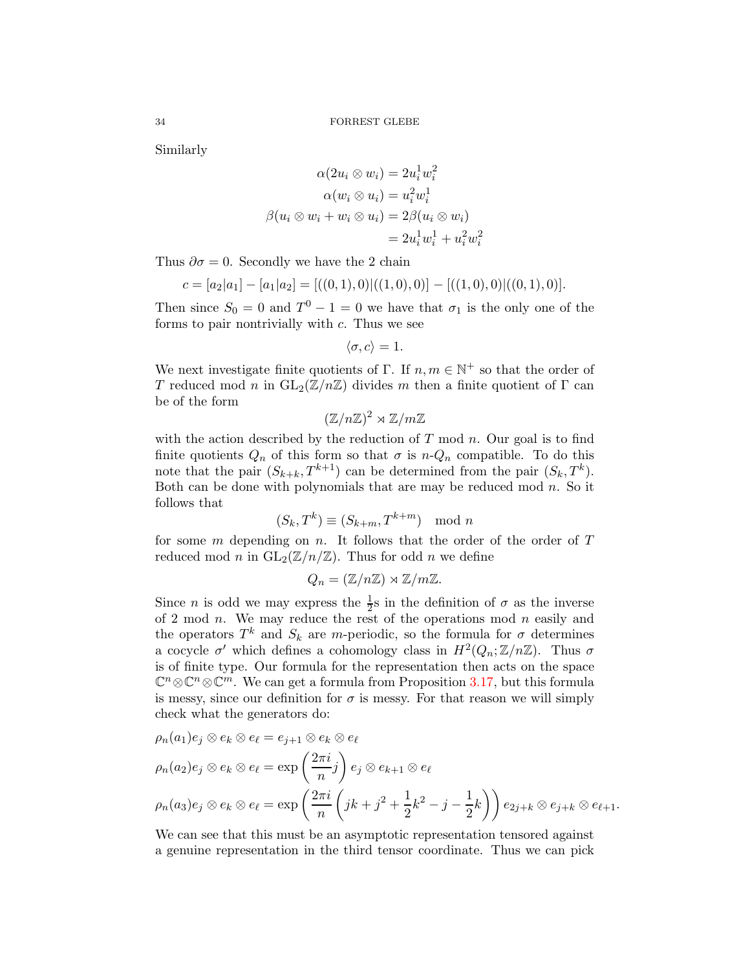Similarly

$$
\alpha(2u_i \otimes w_i) = 2u_i^1 w_i^2
$$
  
\n
$$
\alpha(w_i \otimes u_i) = u_i^2 w_i^1
$$
  
\n
$$
\beta(u_i \otimes w_i + w_i \otimes u_i) = 2\beta(u_i \otimes w_i)
$$
  
\n
$$
= 2u_i^1 w_i^1 + u_i^2 w_i^2
$$

Thus  $\partial \sigma = 0$ . Secondly we have the 2 chain

$$
c = [a_2|a_1] - [a_1|a_2] = [((0,1),0)|((1,0),0)] - [((1,0),0)|((0,1),0)].
$$

Then since  $S_0 = 0$  and  $T^0 - 1 = 0$  we have that  $\sigma_1$  is the only one of the forms to pair nontrivially with c. Thus we see

$$
\langle \sigma, c \rangle = 1.
$$

We next investigate finite quotients of  $\Gamma$ . If  $n, m \in \mathbb{N}^+$  so that the order of T reduced mod n in  $GL_2(\mathbb{Z}/n\mathbb{Z})$  divides m then a finite quotient of  $\Gamma$  can be of the form

$$
(\mathbb{Z}/n\mathbb{Z})^2 \rtimes \mathbb{Z}/m\mathbb{Z}
$$

with the action described by the reduction of  $T$  mod  $n$ . Our goal is to find finite quotients  $Q_n$  of this form so that  $\sigma$  is  $n-Q_n$  compatible. To do this note that the pair  $(S_{k+k}, T^{k+1})$  can be determined from the pair  $(S_k, T^k)$ . Both can be done with polynomials that are may be reduced mod  $n$ . So it follows that

$$
(S_k, T^k) \equiv (S_{k+m}, T^{k+m}) \mod n
$$

for some  $m$  depending on  $n$ . It follows that the order of the order of  $T$ reduced mod n in  $GL_2(\mathbb{Z}/n/\mathbb{Z})$ . Thus for odd n we define

$$
Q_n = (\mathbb{Z}/n\mathbb{Z}) \rtimes \mathbb{Z}/m\mathbb{Z}.
$$

Since *n* is odd we may express the  $\frac{1}{2}$ s in the definition of  $\sigma$  as the inverse of 2 mod *n*. We may reduce the rest of the operations mod *n* easily and the operators  $T^k$  and  $S_k$  are m-periodic, so the formula for  $\sigma$  determines a cocycle  $\sigma'$  which defines a cohomology class in  $H^2(Q_n; \mathbb{Z}/n\mathbb{Z})$ . Thus  $\sigma$ is of finite type. Our formula for the representation then acts on the space  $\mathbb{C}^n \otimes \mathbb{C}^m$ . We can get a formula from Proposition [3.17,](#page-15-1) but this formula is messy, since our definition for  $\sigma$  is messy. For that reason we will simply check what the generators do:

$$
\rho_n(a_1)e_j \otimes e_k \otimes e_\ell = e_{j+1} \otimes e_k \otimes e_\ell
$$
  
\n
$$
\rho_n(a_2)e_j \otimes e_k \otimes e_\ell = \exp\left(\frac{2\pi i}{n}j\right)e_j \otimes e_{k+1} \otimes e_\ell
$$
  
\n
$$
\rho_n(a_3)e_j \otimes e_k \otimes e_\ell = \exp\left(\frac{2\pi i}{n}\left(jk+j^2+\frac{1}{2}k^2-j-\frac{1}{2}k\right)\right)e_{2j+k} \otimes e_{j+k} \otimes e_{\ell+1}.
$$

We can see that this must be an asymptotic representation tensored against a genuine representation in the third tensor coordinate. Thus we can pick